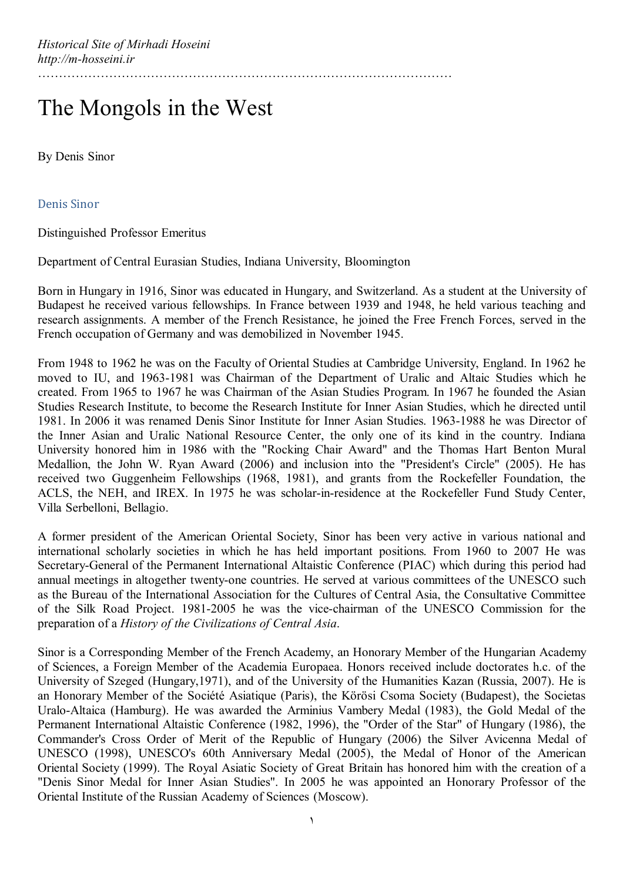## The Mongols in the West

By Denis Sinor

Denis Sinor

Distinguished Professor Emeritus

Department of Central Eurasian Studies, Indiana University, Bloomington

Born in Hungary in 1916, Sinor was educated in Hungary, and Switzerland. As a student at the University of Budapest he received various fellowships. In France between 1939 and 1948, he held various teaching and research assignments. A member of the French Resistance, he joined the Free French Forces, served in the French occupation of Germany and was demobilized in November 1945.

From 1948 to 1962 he was on the Faculty of Oriental Studies at Cambridge University, England. In 1962 he moved to IU, and 1963-1981 was Chairman of the Department of Uralic and Altaic Studies which he created. From 1965 to 1967 he was Chairman of the Asian Studies Program. In 1967 he founded the Asian Studies Research Institute, to become the Research Institute for Inner Asian Studies, which he directed until 1981. In 2006 it was renamed Denis Sinor Institute for Inner Asian Studies. 1963-1988 he was Director of the Inner Asian and Uralic National Resource Center, the only one of its kind in the country. Indiana University honored him in 1986 with the "Rocking Chair Award" and the Thomas Hart Benton Mural Medallion, the John W. Ryan Award (2006) and inclusion into the "President's Circle" (2005). He has received two Guggenheim Fellowships (1968, 1981), and grants from the Rockefeller Foundation, the ACLS, the NEH, and IREX. In 1975 he was scholar-in-residence at the Rockefeller Fund Study Center, Villa Serbelloni, Bellagio.

A former president of the American Oriental Society, Sinor has been very active in various national and international scholarly societies in which he has held important positions. From 1960 to 2007 He was Secretary-General of the Permanent International Altaistic Conference (PIAC) which during this period had annual meetings in altogether twenty-one countries. He served at various committees of the UNESCO such as the Bureau of the International Association for the Cultures of Central Asia, the Consultative Committee of the Silk Road Project. 1981-2005 he was the vice-chairman of the UNESCO Commission for the preparation of a *History of the Civilizations of Central Asia*.

Sinor is a Corresponding Member of the French Academy, an Honorary Member of the Hungarian Academy of Sciences, a Foreign Member of the Academia Europaea. Honors received include doctorates h.c. of the University of Szeged (Hungary,1971), and of the University of the Humanities Kazan (Russia, 2007). He is an Honorary Member of the Société Asiatique (Paris), the Körösi Csoma Society (Budapest), the Societas Uralo-Altaica (Hamburg). He was awarded the Arminius Vambery Medal (1983), the Gold Medal of the Permanent International Altaistic Conference (1982, 1996), the "Order of the Star" of Hungary (1986), the Commander's Cross Order of Merit of the Republic of Hungary (2006) the Silver Avicenna Medal of UNESCO (1998), UNESCO's 60th Anniversary Medal (2005), the Medal of Honor of the American Oriental Society (1999). The Royal Asiatic Society of Great Britain has honored him with the creation of a "Denis Sinor Medal for Inner Asian Studies". In 2005 he was appointed an Honorary Professor of the Oriental Institute of the Russian Academy of Sciences (Moscow).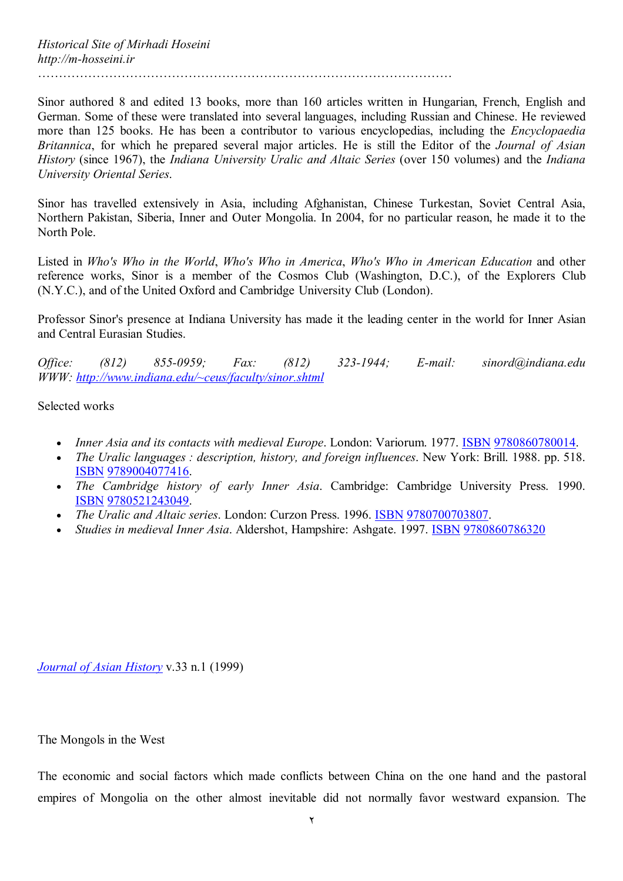Sinor authored 8 and edited 13 books, more than 160 articles written in Hungarian, French, English and German. Some of these were translated into several languages, including Russian and Chinese. He reviewed more than 125 books. He has been a contributor to various encyclopedias, including the *Encyclopaedia Britannica*, for which he prepared several major articles. He is still the Editor of the *Journal of Asian History* (since 1967), the *Indiana University Uralic and Altaic Series* (over 150 volumes) and the *Indiana University Oriental Series*.

………………………………………………………………………………………

Sinor has travelled extensively in Asia, including Afghanistan, Chinese Turkestan, Soviet Central Asia, Northern Pakistan, Siberia, Inner and Outer Mongolia. In 2004, for no particular reason, he made it to the North Pole.

Listed in *Who's Who in the World*, *Who's Who in America*, *Who's Who in American Education* and other reference works, Sinor is a member of the Cosmos Club (Washington, D.C.), of the Explorers Club (N.Y.C.), and of the United Oxford and Cambridge University Club (London).

Professor Sinor's presence at Indiana University has made it the leading center in the world for Inner Asian and Central Eurasian Studies.

*Office: (812) 855-0959; Fax: (812) 323-1944; E-mail: sinord@indiana.edu WWW: http://www.indiana.edu/~ceus/faculty/sinor.shtml*

Selected works

- *Inner Asia and its contacts with medieval Europe*. London: Variorum. 1977. ISBN 9780860780014.
- *The Uralic languages : description, history, and foreign influences*. New York: Brill. 1988. pp. 518. ISBN 9789004077416.
- *The Cambridge history of early Inner Asia*. Cambridge: Cambridge University Press. 1990. ISBN 9780521243049.
- *The Uralic and Altaic series*. London: Curzon Press. 1996. ISBN 9780700703807.
- *Studies in medieval Inner Asia*. Aldershot, Hampshire: Ashgate. 1997. ISBN 9780860786320

*Journal of Asian History* v.33 n.1 (1999)

The Mongols in the West

The economic and social factors which made conflicts between China on the one hand and the pastoral empires of Mongolia on the other almost inevitable did not normally favor westward expansion. The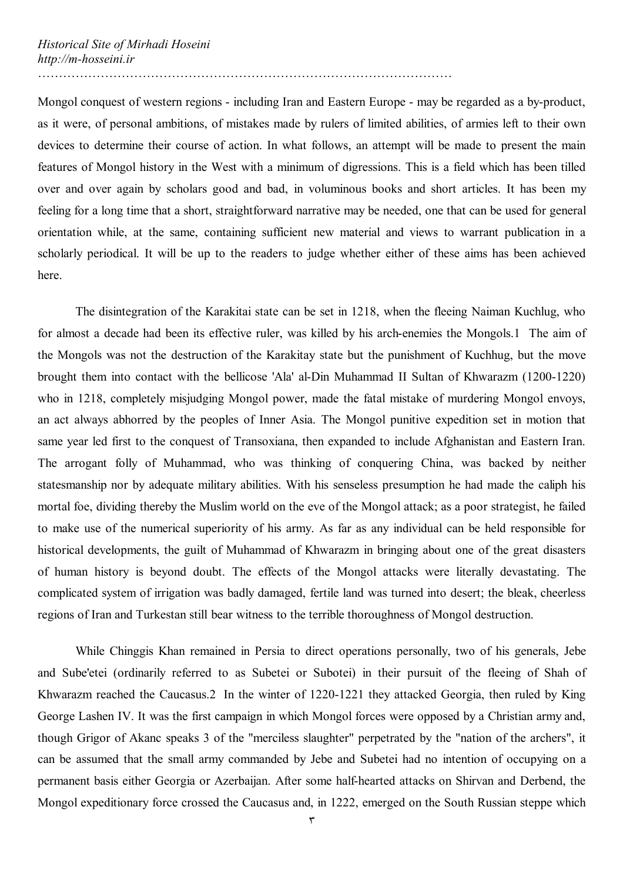Mongol conquest of western regions - including Iran and Eastern Europe - may be regarded as a by-product, as it were, of personal ambitions, of mistakes made by rulers of limited abilities, of armies left to their own devices to determine their course of action. In what follows, an attempt will be made to present the main features of Mongol history in the West with a minimum of digressions. This is a field which has been tilled over and over again by scholars good and bad, in voluminous books and short articles. It has been my feeling for a long time that a short, straightforward narrative may be needed, one that can be used for general orientation while, at the same, containing sufficient new material and views to warrant publication in a scholarly periodical. It will be up to the readers to judge whether either of these aims has been achieved here.

The disintegration of the Karakitai state can be set in 1218, when the fleeing Naiman Kuchlug, who for almost a decade had been its effective ruler, was killed by his arch-enemies the Mongols.1 The aim of the Mongols was not the destruction of the Karakitay state but the punishment of Kuchhug, but the move brought them into contact with the bellicose 'Ala' al-Din Muhammad II Sultan of Khwarazm (1200-1220) who in 1218, completely misjudging Mongol power, made the fatal mistake of murdering Mongol envoys, an act always abhorred by the peoples of Inner Asia. The Mongol punitive expedition set in motion that same year led first to the conquest of Transoxiana, then expanded to include Afghanistan and Eastern Iran. The arrogant folly of Muhammad, who was thinking of conquering China, was backed by neither statesmanship nor by adequate military abilities. With his senseless presumption he had made the caliph his mortal foe, dividing thereby the Muslim world on the eve of the Mongol attack; as a poor strategist, he failed to make use of the numerical superiority of his army. As far as any individual can be held responsible for historical developments, the guilt of Muhammad of Khwarazm in bringing about one of the great disasters of human history is beyond doubt. The effects of the Mongol attacks were literally devastating. The complicated system of irrigation was badly damaged, fertile land was turned into desert; the bleak, cheerless regions of Iran and Turkestan still bear witness to the terrible thoroughness of Mongol destruction.

While Chinggis Khan remained in Persia to direct operations personally, two of his generals, Jebe and Sube'etei (ordinarily referred to as Subetei or Subotei) in their pursuit of the fleeing of Shah of Khwarazm reached the Caucasus.2 In the winter of 1220-1221 they attacked Georgia, then ruled by King George Lashen IV. It was the first campaign in which Mongol forces were opposed by a Christian army and, though Grigor of Akanc speaks 3 of the "merciless slaughter" perpetrated by the "nation of the archers", it can be assumed that the small army commanded by Jebe and Subetei had no intention of occupying on a permanent basis either Georgia or Azerbaijan. After some half-hearted attacks on Shirvan and Derbend, the Mongol expeditionary force crossed the Caucasus and, in 1222, emerged on the South Russian steppe which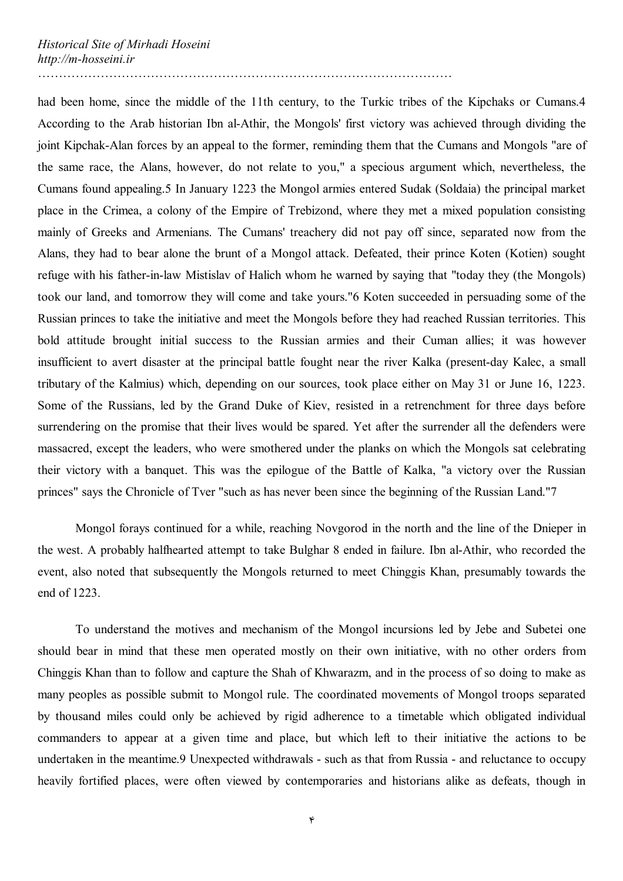had been home, since the middle of the 11th century, to the Turkic tribes of the Kipchaks or Cumans.4 According to the Arab historian Ibn al-Athir, the Mongols' first victory was achieved through dividing the joint Kipchak-Alan forces by an appeal to the former, reminding them that the Cumans and Mongols "are of the same race, the Alans, however, do not relate to you," a specious argument which, nevertheless, the Cumans found appealing.5 In January 1223 the Mongol armies entered Sudak (Soldaia) the principal market place in the Crimea, a colony of the Empire of Trebizond, where they met a mixed population consisting mainly of Greeks and Armenians. The Cumans' treachery did not pay off since, separated now from the Alans, they had to bear alone the brunt of a Mongol attack. Defeated, their prince Koten (Kotien) sought refuge with his father-in-law Mistislav of Halich whom he warned by saying that "today they (the Mongols) took our land, and tomorrow they will come and take yours."6 Koten succeeded in persuading some of the Russian princes to take the initiative and meet the Mongols before they had reached Russian territories. This bold attitude brought initial success to the Russian armies and their Cuman allies; it was however insufficient to avert disaster at the principal battle fought near the river Kalka (present-day Kalec, a small tributary of the Kalmius) which, depending on our sources, took place either on May 31 or June 16, 1223. Some of the Russians, led by the Grand Duke of Kiev, resisted in a retrenchment for three days before surrendering on the promise that their lives would be spared. Yet after the surrender all the defenders were massacred, except the leaders, who were smothered under the planks on which the Mongols sat celebrating their victory with a banquet. This was the epilogue of the Battle of Kalka, "a victory over the Russian princes" says the Chronicle of Tver "such as has never been since the beginning of the Russian Land."7

Mongol forays continued for a while, reaching Novgorod in the north and the line of the Dnieper in the west. A probably halfhearted attempt to take Bulghar 8 ended in failure. Ibn al-Athir, who recorded the event, also noted that subsequently the Mongols returned to meet Chinggis Khan, presumably towards the end of 1223.

To understand the motives and mechanism of the Mongol incursions led by Jebe and Subetei one should bear in mind that these men operated mostly on their own initiative, with no other orders from Chinggis Khan than to follow and capture the Shah of Khwarazm, and in the process of so doing to make as many peoples as possible submit to Mongol rule. The coordinated movements of Mongol troops separated by thousand miles could only be achieved by rigid adherence to a timetable which obligated individual commanders to appear at a given time and place, but which left to their initiative the actions to be undertaken in the meantime.9 Unexpected withdrawals - such as that from Russia - and reluctance to occupy heavily fortified places, were often viewed by contemporaries and historians alike as defeats, though in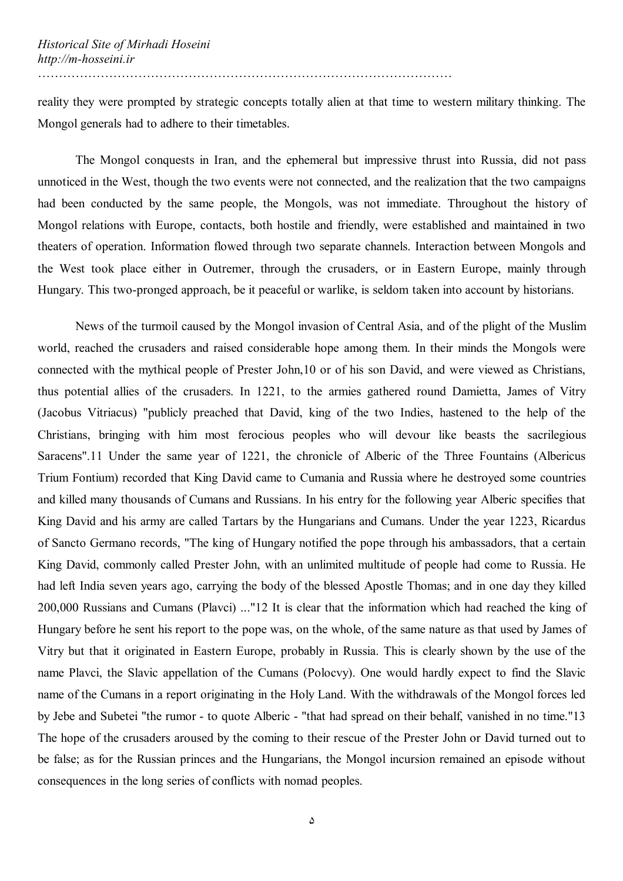reality they were prompted by strategic concepts totally alien at that time to western military thinking. The Mongol generals had to adhere to their timetables.

The Mongol conquests in Iran, and the ephemeral but impressive thrust into Russia, did not pass unnoticed in the West, though the two events were not connected, and the realization that the two campaigns had been conducted by the same people, the Mongols, was not immediate. Throughout the history of Mongol relations with Europe, contacts, both hostile and friendly, were established and maintained in two theaters of operation. Information flowed through two separate channels. Interaction between Mongols and the West took place either in Outremer, through the crusaders, or in Eastern Europe, mainly through Hungary. This two-pronged approach, be it peaceful or warlike, is seldom taken into account by historians.

News of the turmoil caused by the Mongol invasion of Central Asia, and of the plight of the Muslim world, reached the crusaders and raised considerable hope among them. In their minds the Mongols were connected with the mythical people of Prester John,10 or of his son David, and were viewed as Christians, thus potential allies of the crusaders. In 1221, to the armies gathered round Damietta, James of Vitry (Jacobus Vitriacus) "publicly preached that David, king of the two Indies, hastened to the help of the Christians, bringing with him most ferocious peoples who will devour like beasts the sacrilegious Saracens".11 Under the same year of 1221, the chronicle of Alberic of the Three Fountains (Albericus Trium Fontium) recorded that King David came to Cumania and Russia where he destroyed some countries and killed many thousands of Cumans and Russians. In his entry for the following year Alberic specifies that King David and his army are called Tartars by the Hungarians and Cumans. Under the year 1223, Ricardus of Sancto Germano records, "The king of Hungary notified the pope through his ambassadors, that a certain King David, commonly called Prester John, with an unlimited multitude of people had come to Russia. He had left India seven years ago, carrying the body of the blessed Apostle Thomas; and in one day they killed 200,000 Russians and Cumans (Plavci) ..."12 It is clear that the information which had reached the king of Hungary before he sent his report to the pope was, on the whole, of the same nature as that used by James of Vitry but that it originated in Eastern Europe, probably in Russia. This is clearly shown by the use of the name Plavci, the Slavic appellation of the Cumans (Polocvy). One would hardly expect to find the Slavic name of the Cumans in a report originating in the Holy Land. With the withdrawals of the Mongol forces led by Jebe and Subetei "the rumor - to quote Alberic - "that had spread on their behalf, vanished in no time."13 The hope of the crusaders aroused by the coming to their rescue of the Prester John or David turned out to be false; as for the Russian princes and the Hungarians, the Mongol incursion remained an episode without consequences in the long series of conflicts with nomad peoples.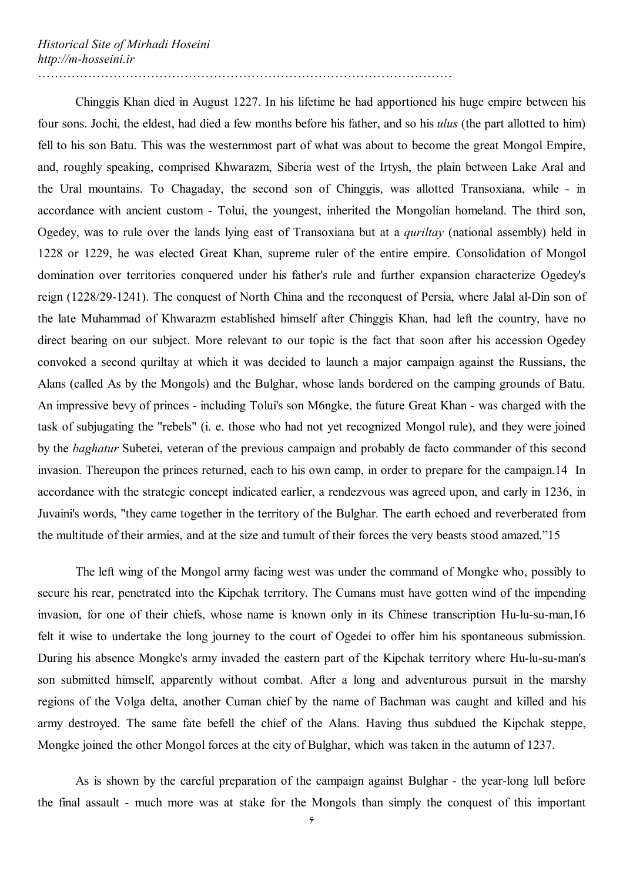Chinggis Khan died in August 1227. In his lifetime he had apportioned his huge empire between his four sons. Jochi, the eldest, had died a few months before his father, and so his *ulus* (the part allotted to him) fell to his son Batu. This was the westernmost part of what was about to become the great Mongol Empire, and, roughly speaking, comprised Khwarazm, Siberia west of the Irtysh, the plain between Lake Aral and the Ural mountains. To Chagaday, the second son of Chinggis, was allotted Transoxiana, while - in accordance with ancient custom - Tolui, the youngest, inherited the Mongolian homeland. The third son, Ogedey, was to rule over the lands lying east of Transoxiana but at a *quriltay* (national assembly) held in 1228 or 1229, he was elected Great Khan, supreme ruler of the entire empire. Consolidation of Mongol domination over territories conquered under his father's rule and further expansion characterize Ogedey's reign (1228/29-1241). The conquest of North China and the reconquest of Persia, where Jalal al-Din son of the late Muhammad of Khwarazm established himself after Chinggis Khan, had left the country, have no direct bearing on our subject. More relevant to our topic is the fact that soon after his accession Ogedey convoked a second quriltay at which it was decided to launch a major campaign against the Russians, the Alans (called As by the Mongols) and the Bulghar, whose lands bordered on the camping grounds of Batu. An impressive bevy of princes - including Tolui's son M6ngke, the future Great Khan - was charged with the task of subjugating the "rebels" (i. e. those who had not yet recognized Mongol rule), and they were joined by the *baghatur* Subetei, veteran of the previous campaign and probably de facto commander of this second invasion. Thereupon the princes returned, each to his own camp, in order to prepare for the campaign.14 In accordance with the strategic concept indicated earlier, a rendezvous was agreed upon, and early in 1236, in Juvaini's words, "they came together in the territory of the Bulghar. The earth echoed and reverberated from the multitude of their armies, and at the size and tumult of their forces the very beasts stood amazed."15

The left wing of the Mongol army facing west was under the command of Mongke who, possibly to secure his rear, penetrated into the Kipchak territory. The Cumans must have gotten wind of the impending invasion, for one of their chiefs, whose name is known only in its Chinese transcription Hu-lu-su-man,16 felt it wise to undertake the long journey to the court of Ogedei to offer him his spontaneous submission. During his absence Mongke's army invaded the eastern part of the Kipchak territory where Hu-lu-su-man's son submitted himself, apparently without combat. After a long and adventurous pursuit in the marshy regions of the Volga delta, another Cuman chief by the name of Bachman was caught and killed and his army destroyed. The same fate befell the chief of the Alans. Having thus subdued the Kipchak steppe, Mongke joined the other Mongol forces at the city of Bulghar, which was taken in the autumn of 1237.

As is shown by the careful preparation of the campaign against Bulghar - the year-long lull before the final assault - much more was at stake for the Mongols than simply the conquest of this important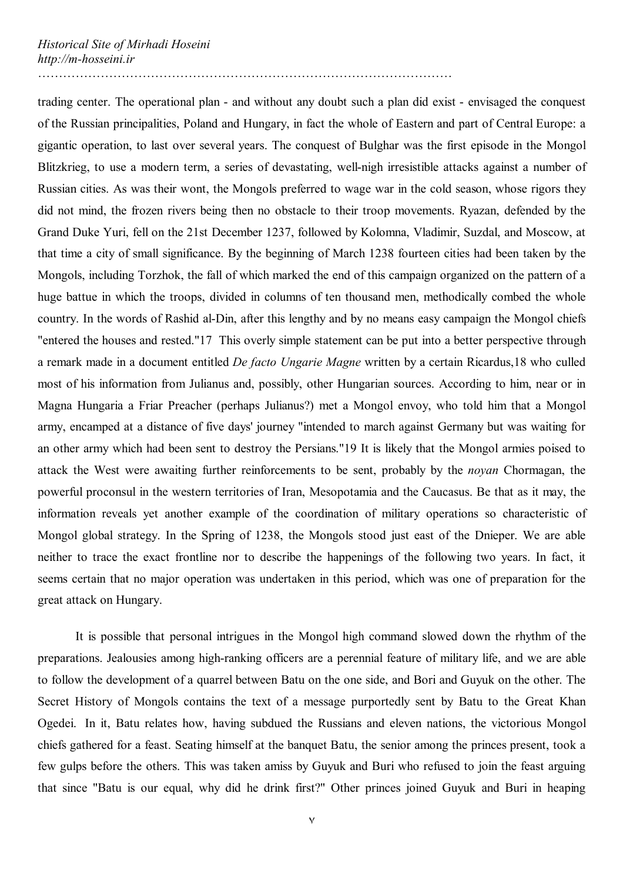trading center. The operational plan - and without any doubt such a plan did exist - envisaged the conquest of the Russian principalities, Poland and Hungary, in fact the whole of Eastern and part of Central Europe: a gigantic operation, to last over several years. The conquest of Bulghar was the first episode in the Mongol Blitzkrieg, to use a modern term, a series of devastating, well-nigh irresistible attacks against a number of Russian cities. As was their wont, the Mongols preferred to wage war in the cold season, whose rigors they did not mind, the frozen rivers being then no obstacle to their troop movements. Ryazan, defended by the Grand Duke Yuri, fell on the 21st December 1237, followed by Kolomna, Vladimir, Suzdal, and Moscow, at that time a city of small significance. By the beginning of March 1238 fourteen cities had been taken by the Mongols, including Torzhok, the fall of which marked the end of this campaign organized on the pattern of a huge battue in which the troops, divided in columns of ten thousand men, methodically combed the whole country. In the words of Rashid al-Din, after this lengthy and by no means easy campaign the Mongol chiefs "entered the houses and rested."17 This overly simple statement can be put into a better perspective through a remark made in a document entitled *De facto Ungarie Magne* written by a certain Ricardus,18 who culled most of his information from Julianus and, possibly, other Hungarian sources. According to him, near or in Magna Hungaria a Friar Preacher (perhaps Julianus?) met a Mongol envoy, who told him that a Mongol army, encamped at a distance of five days' journey "intended to march against Germany but was waiting for an other army which had been sent to destroy the Persians."19 It is likely that the Mongol armies poised to attack the West were awaiting further reinforcements to be sent, probably by the *noyan* Chormagan, the powerful proconsul in the western territories of Iran, Mesopotamia and the Caucasus. Be that as it may, the information reveals yet another example of the coordination of military operations so characteristic of Mongol global strategy. In the Spring of 1238, the Mongols stood just east of the Dnieper. We are able neither to trace the exact frontline nor to describe the happenings of the following two years. In fact, it seems certain that no major operation was undertaken in this period, which was one of preparation for the great attack on Hungary.

It is possible that personal intrigues in the Mongol high command slowed down the rhythm of the preparations. Jealousies among high-ranking officers are a perennial feature of military life, and we are able to follow the development of a quarrel between Batu on the one side, and Bori and Guyuk on the other. The Secret History of Mongols contains the text of a message purportedly sent by Batu to the Great Khan Ogedei. In it, Batu relates how, having subdued the Russians and eleven nations, the victorious Mongol chiefs gathered for a feast. Seating himself at the banquet Batu, the senior among the princes present, took a few gulps before the others. This was taken amiss by Guyuk and Buri who refused to join the feast arguing that since "Batu is our equal, why did he drink first?" Other princes joined Guyuk and Buri in heaping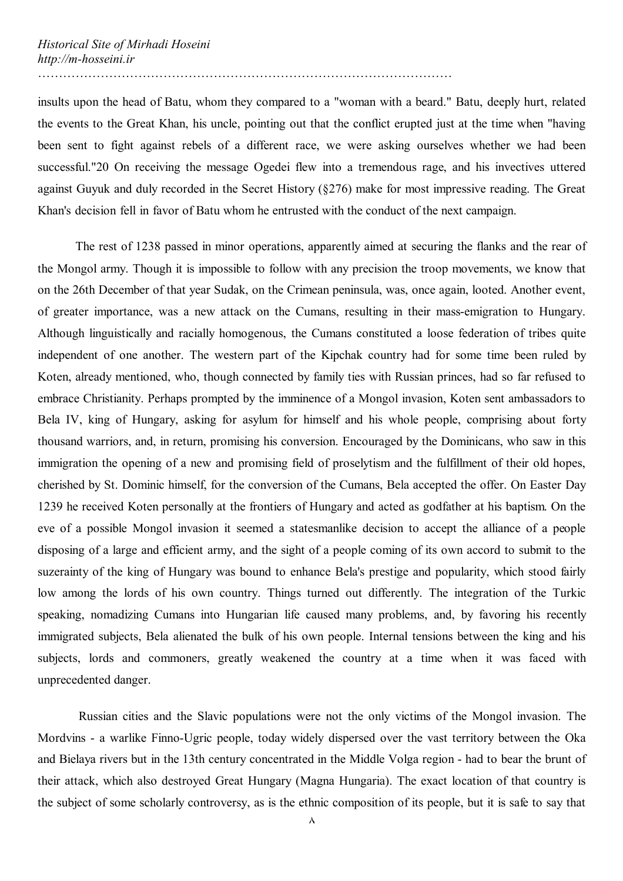insults upon the head of Batu, whom they compared to a "woman with a beard." Batu, deeply hurt, related the events to the Great Khan, his uncle, pointing out that the conflict erupted just at the time when "having been sent to fight against rebels of a different race, we were asking ourselves whether we had been successful."20 On receiving the message Ogedei flew into a tremendous rage, and his invectives uttered against Guyuk and duly recorded in the Secret History (§276) make for most impressive reading. The Great Khan's decision fell in favor of Batu whom he entrusted with the conduct of the next campaign.

The rest of 1238 passed in minor operations, apparently aimed at securing the flanks and the rear of the Mongol army. Though it is impossible to follow with any precision the troop movements, we know that on the 26th December of that year Sudak, on the Crimean peninsula, was, once again, looted. Another event, of greater importance, was a new attack on the Cumans, resulting in their mass-emigration to Hungary. Although linguistically and racially homogenous, the Cumans constituted a loose federation of tribes quite independent of one another. The western part of the Kipchak country had for some time been ruled by Koten, already mentioned, who, though connected by family ties with Russian princes, had so far refused to embrace Christianity. Perhaps prompted by the imminence of a Mongol invasion, Koten sent ambassadors to Bela IV, king of Hungary, asking for asylum for himself and his whole people, comprising about forty thousand warriors, and, in return, promising his conversion. Encouraged by the Dominicans, who saw in this immigration the opening of a new and promising field of proselytism and the fulfillment of their old hopes, cherished by St. Dominic himself, for the conversion of the Cumans, Bela accepted the offer. On Easter Day 1239 he received Koten personally at the frontiers of Hungary and acted as godfather at his baptism. On the eve of a possible Mongol invasion it seemed a statesmanlike decision to accept the alliance of a people disposing of a large and efficient army, and the sight of a people coming of its own accord to submit to the suzerainty of the king of Hungary was bound to enhance Bela's prestige and popularity, which stood fairly low among the lords of his own country. Things turned out differently. The integration of the Turkic speaking, nomadizing Cumans into Hungarian life caused many problems, and, by favoring his recently immigrated subjects, Bela alienated the bulk of his own people. Internal tensions between the king and his subjects, lords and commoners, greatly weakened the country at a time when it was faced with unprecedented danger.

Russian cities and the Slavic populations were not the only victims of the Mongol invasion. The Mordvins - a warlike Finno-Ugric people, today widely dispersed over the vast territory between the Oka and Bielaya rivers but in the 13th century concentrated in the Middle Volga region - had to bear the brunt of their attack, which also destroyed Great Hungary (Magna Hungaria). The exact location of that country is the subject of some scholarly controversy, as is the ethnic composition of its people, but it is safe to say that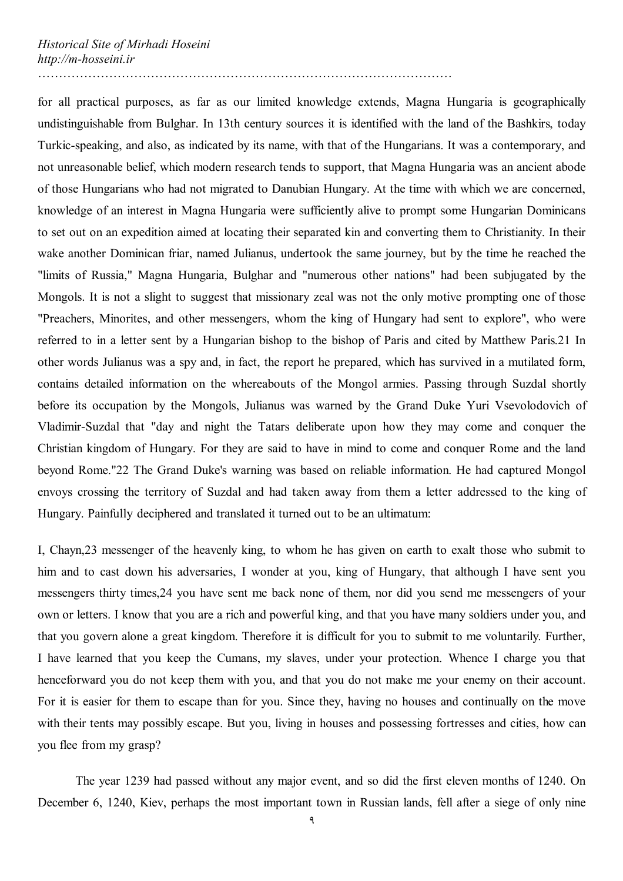for all practical purposes, as far as our limited knowledge extends, Magna Hungaria is geographically undistinguishable from Bulghar. In 13th century sources it is identified with the land of the Bashkirs, today Turkic-speaking, and also, as indicated by its name, with that of the Hungarians. It was a contemporary, and not unreasonable belief, which modern research tends to support, that Magna Hungaria was an ancient abode of those Hungarians who had not migrated to Danubian Hungary. At the time with which we are concerned, knowledge of an interest in Magna Hungaria were sufficiently alive to prompt some Hungarian Dominicans to set out on an expedition aimed at locating their separated kin and converting them to Christianity. In their wake another Dominican friar, named Julianus, undertook the same journey, but by the time he reached the "limits of Russia," Magna Hungaria, Bulghar and "numerous other nations" had been subjugated by the Mongols. It is not a slight to suggest that missionary zeal was not the only motive prompting one of those "Preachers, Minorites, and other messengers, whom the king of Hungary had sent to explore", who were referred to in a letter sent by a Hungarian bishop to the bishop of Paris and cited by Matthew Paris.21 In other words Julianus was a spy and, in fact, the report he prepared, which has survived in a mutilated form, contains detailed information on the whereabouts of the Mongol armies. Passing through Suzdal shortly before its occupation by the Mongols, Julianus was warned by the Grand Duke Yuri Vsevolodovich of Vladimir-Suzdal that "day and night the Tatars deliberate upon how they may come and conquer the Christian kingdom of Hungary. For they are said to have in mind to come and conquer Rome and the land beyond Rome."22 The Grand Duke's warning was based on reliable information. He had captured Mongol envoys crossing the territory of Suzdal and had taken away from them a letter addressed to the king of Hungary. Painfully deciphered and translated it turned out to be an ultimatum:

I, Chayn,23 messenger of the heavenly king, to whom he has given on earth to exalt those who submit to him and to cast down his adversaries, I wonder at you, king of Hungary, that although I have sent you messengers thirty times,24 you have sent me back none of them, nor did you send me messengers of your own or letters. I know that you are a rich and powerful king, and that you have many soldiers under you, and that you govern alone a great kingdom. Therefore it is difficult for you to submit to me voluntarily. Further, I have learned that you keep the Cumans, my slaves, under your protection. Whence I charge you that henceforward you do not keep them with you, and that you do not make me your enemy on their account. For it is easier for them to escape than for you. Since they, having no houses and continually on the move with their tents may possibly escape. But you, living in houses and possessing fortresses and cities, how can you flee from my grasp?

The year 1239 had passed without any major event, and so did the first eleven months of 1240. On December 6, 1240, Kiev, perhaps the most important town in Russian lands, fell after a siege of only nine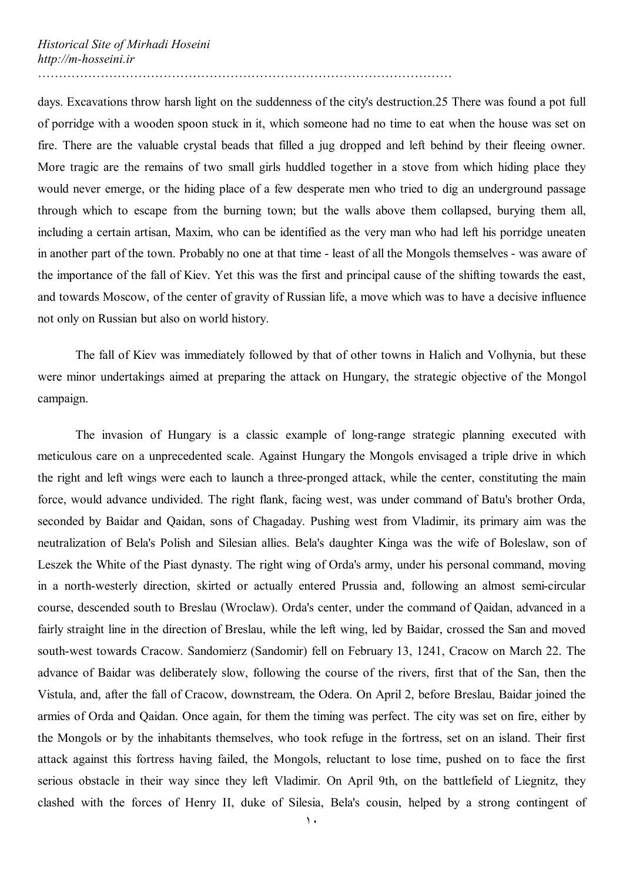days. Excavations throw harsh light on the suddenness of the city's destruction.25 There was found a pot full of porridge with a wooden spoon stuck in it, which someone had no time to eat when the house was set on fire. There are the valuable crystal beads that filled a jug dropped and left behind by their fleeing owner. More tragic are the remains of two small girls huddled together in a stove from which hiding place they would never emerge, or the hiding place of a few desperate men who tried to dig an underground passage through which to escape from the burning town; but the walls above them collapsed, burying them all, including a certain artisan, Maxim, who can be identified as the very man who had left his porridge uneaten in another part of the town. Probably no one at that time - least of all the Mongols themselves - was aware of

………………………………………………………………………………………

the importance of the fall of Kiev. Yet this was the first and principal cause of the shifting towards the east, and towards Moscow, of the center of gravity of Russian life, a move which was to have a decisive influence not only on Russian but also on world history.

The fall of Kiev was immediately followed by that of other towns in Halich and Volhynia, but these were minor undertakings aimed at preparing the attack on Hungary, the strategic objective of the Mongol campaign.

The invasion of Hungary is a classic example of long-range strategic planning executed with meticulous care on a unprecedented scale. Against Hungary the Mongols envisaged a triple drive in which the right and left wings were each to launch a three-pronged attack, while the center, constituting the main force, would advance undivided. The right flank, facing west, was under command of Batu's brother Orda, seconded by Baidar and Qaidan, sons of Chagaday. Pushing west from Vladimir, its primary aim was the neutralization of Bela's Polish and Silesian allies. Bela's daughter Kinga was the wife of Boleslaw, son of Leszek the White of the Piast dynasty. The right wing of Orda's army, under his personal command, moving in a north-westerly direction, skirted or actually entered Prussia and, following an almost semi-circular course, descended south to Breslau (Wroclaw). Orda's center, under the command of Qaidan, advanced in a fairly straight line in the direction of Breslau, while the left wing, led by Baidar, crossed the San and moved south-west towards Cracow. Sandomierz (Sandomir) fell on February 13, 1241, Cracow on March 22. The advance of Baidar was deliberately slow, following the course of the rivers, first that of the San, then the Vistula, and, after the fall of Cracow, downstream, the Odera. On April 2, before Breslau, Baidar joined the armies of Orda and Qaidan. Once again, for them the timing was perfect. The city was set on fire, either by the Mongols or by the inhabitants themselves, who took refuge in the fortress, set on an island. Their first attack against this fortress having failed, the Mongols, reluctant to lose time, pushed on to face the first serious obstacle in their way since they left Vladimir. On April 9th, on the battlefield of Liegnitz, they clashed with the forces of Henry II, duke of Silesia, Bela's cousin, helped by a strong contingent of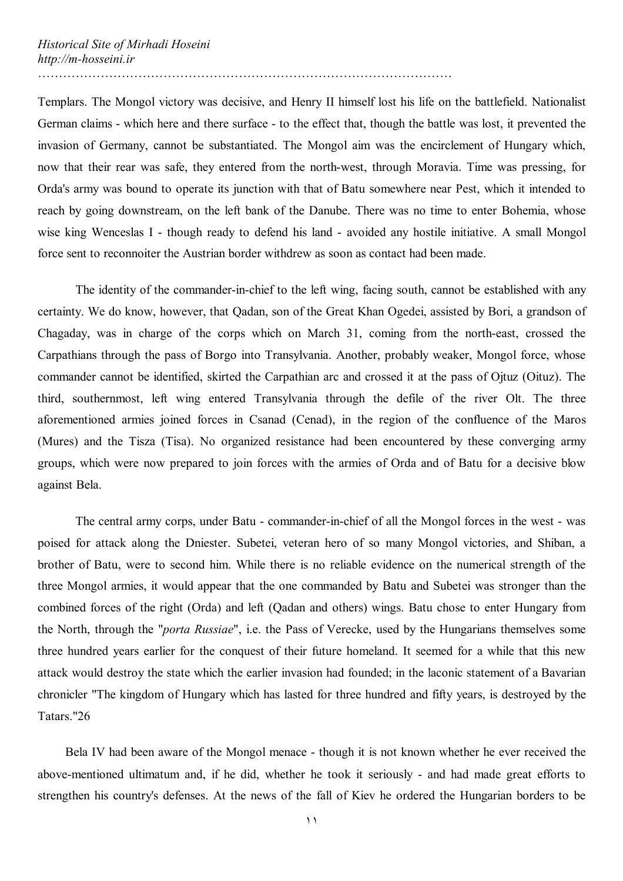Templars. The Mongol victory was decisive, and Henry II himself lost his life on the battlefield. Nationalist German claims - which here and there surface - to the effect that, though the battle was lost, it prevented the invasion of Germany, cannot be substantiated. The Mongol aim was the encirclement of Hungary which, now that their rear was safe, they entered from the north-west, through Moravia. Time was pressing, for Orda's army was bound to operate its junction with that of Batu somewhere near Pest, which it intended to reach by going downstream, on the left bank of the Danube. There was no time to enter Bohemia, whose wise king Wenceslas I - though ready to defend his land - avoided any hostile initiative. A small Mongol force sent to reconnoiter the Austrian border withdrew as soon as contact had been made.

The identity of the commander-in-chief to the left wing, facing south, cannot be established with any certainty. We do know, however, that Qadan, son of the Great Khan Ogedei, assisted by Bori, a grandson of Chagaday, was in charge of the corps which on March 31, coming from the north-east, crossed the Carpathians through the pass of Borgo into Transylvania. Another, probably weaker, Mongol force, whose commander cannot be identified, skirted the Carpathian arc and crossed it at the pass of Ojtuz (Oituz). The third, southernmost, left wing entered Transylvania through the defile of the river Olt. The three aforementioned armies joined forces in Csanad (Cenad), in the region of the confluence of the Maros (Mures) and the Tisza (Tisa). No organized resistance had been encountered by these converging army groups, which were now prepared to join forces with the armies of Orda and of Batu for a decisive blow against Bela.

The central army corps, under Batu - commander-in-chief of all the Mongol forces in the west - was poised for attack along the Dniester. Subetei, veteran hero of so many Mongol victories, and Shiban, a brother of Batu, were to second him. While there is no reliable evidence on the numerical strength of the three Mongol armies, it would appear that the one commanded by Batu and Subetei was stronger than the combined forces of the right (Orda) and left (Qadan and others) wings. Batu chose to enter Hungary from the North, through the "*porta Russiae*", i.e. the Pass of Verecke, used by the Hungarians themselves some three hundred years earlier for the conquest of their future homeland. It seemed for a while that this new attack would destroy the state which the earlier invasion had founded; in the laconic statement of a Bavarian chronicler "The kingdom of Hungary which has lasted for three hundred and fifty years, is destroyed by the Tatars."26

 Bela IV had been aware of the Mongol menace - though it is not known whether he ever received the above-mentioned ultimatum and, if he did, whether he took it seriously - and had made great efforts to strengthen his country's defenses. At the news of the fall of Kiev he ordered the Hungarian borders to be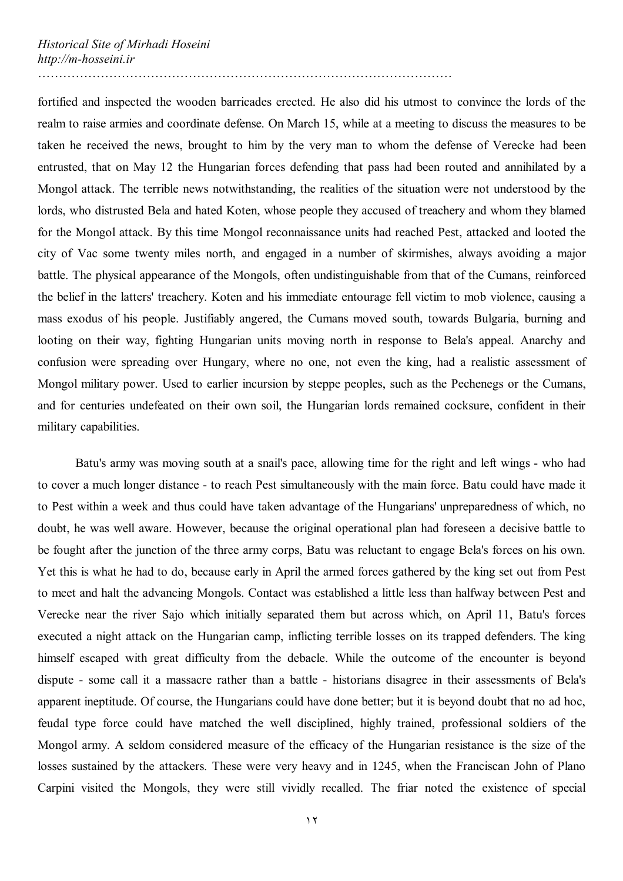fortified and inspected the wooden barricades erected. He also did his utmost to convince the lords of the realm to raise armies and coordinate defense. On March 15, while at a meeting to discuss the measures to be taken he received the news, brought to him by the very man to whom the defense of Verecke had been entrusted, that on May 12 the Hungarian forces defending that pass had been routed and annihilated by a Mongol attack. The terrible news notwithstanding, the realities of the situation were not understood by the lords, who distrusted Bela and hated Koten, whose people they accused of treachery and whom they blamed for the Mongol attack. By this time Mongol reconnaissance units had reached Pest, attacked and looted the city of Vac some twenty miles north, and engaged in a number of skirmishes, always avoiding a major battle. The physical appearance of the Mongols, often undistinguishable from that of the Cumans, reinforced the belief in the latters' treachery. Koten and his immediate entourage fell victim to mob violence, causing a mass exodus of his people. Justifiably angered, the Cumans moved south, towards Bulgaria, burning and looting on their way, fighting Hungarian units moving north in response to Bela's appeal. Anarchy and confusion were spreading over Hungary, where no one, not even the king, had a realistic assessment of Mongol military power. Used to earlier incursion by steppe peoples, such as the Pechenegs or the Cumans, and for centuries undefeated on their own soil, the Hungarian lords remained cocksure, confident in their military capabilities.

Batu's army was moving south at a snail's pace, allowing time for the right and left wings - who had to cover a much longer distance - to reach Pest simultaneously with the main force. Batu could have made it to Pest within a week and thus could have taken advantage of the Hungarians' unpreparedness of which, no doubt, he was well aware. However, because the original operational plan had foreseen a decisive battle to be fought after the junction of the three army corps, Batu was reluctant to engage Bela's forces on his own. Yet this is what he had to do, because early in April the armed forces gathered by the king set out from Pest to meet and halt the advancing Mongols. Contact was established a little less than halfway between Pest and Verecke near the river Sajo which initially separated them but across which, on April 11, Batu's forces executed a night attack on the Hungarian camp, inflicting terrible losses on its trapped defenders. The king himself escaped with great difficulty from the debacle. While the outcome of the encounter is beyond dispute - some call it a massacre rather than a battle - historians disagree in their assessments of Bela's apparent ineptitude. Of course, the Hungarians could have done better; but it is beyond doubt that no ad hoc, feudal type force could have matched the well disciplined, highly trained, professional soldiers of the Mongol army. A seldom considered measure of the efficacy of the Hungarian resistance is the size of the losses sustained by the attackers. These were very heavy and in 1245, when the Franciscan John of Plano Carpini visited the Mongols, they were still vividly recalled. The friar noted the existence of special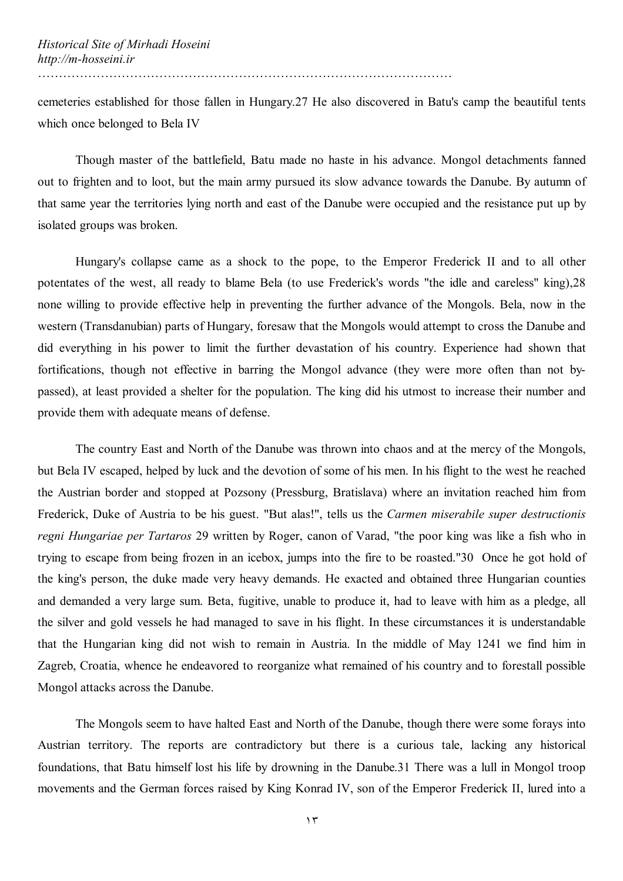cemeteries established for those fallen in Hungary.27 He also discovered in Batu's camp the beautiful tents which once belonged to Bela IV

Though master of the battlefield, Batu made no haste in his advance. Mongol detachments fanned out to frighten and to loot, but the main army pursued its slow advance towards the Danube. By autumn of that same year the territories lying north and east of the Danube were occupied and the resistance put up by isolated groups was broken.

Hungary's collapse came as a shock to the pope, to the Emperor Frederick II and to all other potentates of the west, all ready to blame Bela (to use Frederick's words "the idle and careless" king),28 none willing to provide effective help in preventing the further advance of the Mongols. Bela, now in the western (Transdanubian) parts of Hungary, foresaw that the Mongols would attempt to cross the Danube and did everything in his power to limit the further devastation of his country. Experience had shown that fortifications, though not effective in barring the Mongol advance (they were more often than not bypassed), at least provided a shelter for the population. The king did his utmost to increase their number and provide them with adequate means of defense.

The country East and North of the Danube was thrown into chaos and at the mercy of the Mongols, but Bela IV escaped, helped by luck and the devotion of some of his men. In his flight to the west he reached the Austrian border and stopped at Pozsony (Pressburg, Bratislava) where an invitation reached him from Frederick, Duke of Austria to be his guest. "But alas!", tells us the *Carmen miserabile super destructionis regni Hungariae per Tartaros* 29 written by Roger, canon of Varad, "the poor king was like a fish who in trying to escape from being frozen in an icebox, jumps into the fire to be roasted."30 Once he got hold of the king's person, the duke made very heavy demands. He exacted and obtained three Hungarian counties and demanded a very large sum. Beta, fugitive, unable to produce it, had to leave with him as a pledge, all the silver and gold vessels he had managed to save in his flight. In these circumstances it is understandable that the Hungarian king did not wish to remain in Austria. In the middle of May 1241 we find him in Zagreb, Croatia, whence he endeavored to reorganize what remained of his country and to forestall possible Mongol attacks across the Danube.

The Mongols seem to have halted East and North of the Danube, though there were some forays into Austrian territory. The reports are contradictory but there is a curious tale, lacking any historical foundations, that Batu himself lost his life by drowning in the Danube.31 There was a lull in Mongol troop movements and the German forces raised by King Konrad IV, son of the Emperor Frederick II, lured into a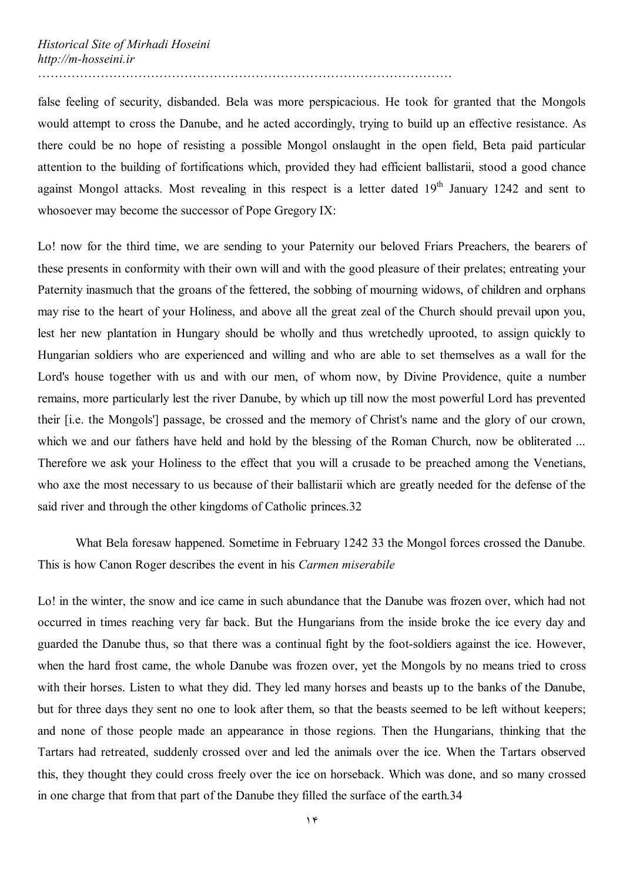false feeling of security, disbanded. Bela was more perspicacious. He took for granted that the Mongols would attempt to cross the Danube, and he acted accordingly, trying to build up an effective resistance. As there could be no hope of resisting a possible Mongol onslaught in the open field, Beta paid particular attention to the building of fortifications which, provided they had efficient ballistarii, stood a good chance against Mongol attacks. Most revealing in this respect is a letter dated 19<sup>th</sup> January 1242 and sent to whosoever may become the successor of Pope Gregory IX:

………………………………………………………………………………………

Lo! now for the third time, we are sending to your Paternity our beloved Friars Preachers, the bearers of these presents in conformity with their own will and with the good pleasure of their prelates; entreating your Paternity inasmuch that the groans of the fettered, the sobbing of mourning widows, of children and orphans may rise to the heart of your Holiness, and above all the great zeal of the Church should prevail upon you, lest her new plantation in Hungary should be wholly and thus wretchedly uprooted, to assign quickly to Hungarian soldiers who are experienced and willing and who are able to set themselves as a wall for the Lord's house together with us and with our men, of whom now, by Divine Providence, quite a number remains, more particularly lest the river Danube, by which up till now the most powerful Lord has prevented their [i.e. the Mongols'] passage, be crossed and the memory of Christ's name and the glory of our crown, which we and our fathers have held and hold by the blessing of the Roman Church, now be obliterated ... Therefore we ask your Holiness to the effect that you will a crusade to be preached among the Venetians, who axe the most necessary to us because of their ballistarii which are greatly needed for the defense of the said river and through the other kingdoms of Catholic princes.32

What Bela foresaw happened. Sometime in February 1242 33 the Mongol forces crossed the Danube. This is how Canon Roger describes the event in his *Carmen miserabile*

Lo! in the winter, the snow and ice came in such abundance that the Danube was frozen over, which had not occurred in times reaching very far back. But the Hungarians from the inside broke the ice every day and guarded the Danube thus, so that there was a continual fight by the foot-soldiers against the ice. However, when the hard frost came, the whole Danube was frozen over, yet the Mongols by no means tried to cross with their horses. Listen to what they did. They led many horses and beasts up to the banks of the Danube, but for three days they sent no one to look after them, so that the beasts seemed to be left without keepers; and none of those people made an appearance in those regions. Then the Hungarians, thinking that the Tartars had retreated, suddenly crossed over and led the animals over the ice. When the Tartars observed this, they thought they could cross freely over the ice on horseback. Which was done, and so many crossed in one charge that from that part of the Danube they filled the surface of the earth.34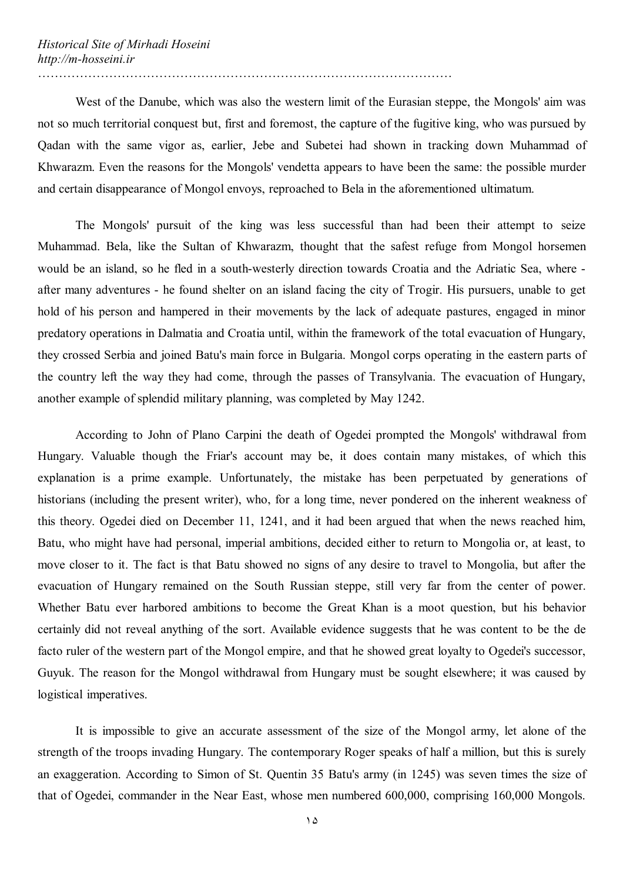West of the Danube, which was also the western limit of the Eurasian steppe, the Mongols' aim was not so much territorial conquest but, first and foremost, the capture of the fugitive king, who was pursued by Qadan with the same vigor as, earlier, Jebe and Subetei had shown in tracking down Muhammad of Khwarazm. Even the reasons for the Mongols' vendetta appears to have been the same: the possible murder and certain disappearance of Mongol envoys, reproached to Bela in the aforementioned ultimatum.

The Mongols' pursuit of the king was less successful than had been their attempt to seize Muhammad. Bela, like the Sultan of Khwarazm, thought that the safest refuge from Mongol horsemen would be an island, so he fled in a south-westerly direction towards Croatia and the Adriatic Sea, where after many adventures - he found shelter on an island facing the city of Trogir. His pursuers, unable to get hold of his person and hampered in their movements by the lack of adequate pastures, engaged in minor predatory operations in Dalmatia and Croatia until, within the framework of the total evacuation of Hungary, they crossed Serbia and joined Batu's main force in Bulgaria. Mongol corps operating in the eastern parts of the country left the way they had come, through the passes of Transylvania. The evacuation of Hungary, another example of splendid military planning, was completed by May 1242.

According to John of Plano Carpini the death of Ogedei prompted the Mongols' withdrawal from Hungary. Valuable though the Friar's account may be, it does contain many mistakes, of which this explanation is a prime example. Unfortunately, the mistake has been perpetuated by generations of historians (including the present writer), who, for a long time, never pondered on the inherent weakness of this theory. Ogedei died on December 11, 1241, and it had been argued that when the news reached him, Batu, who might have had personal, imperial ambitions, decided either to return to Mongolia or, at least, to move closer to it. The fact is that Batu showed no signs of any desire to travel to Mongolia, but after the evacuation of Hungary remained on the South Russian steppe, still very far from the center of power. Whether Batu ever harbored ambitions to become the Great Khan is a moot question, but his behavior certainly did not reveal anything of the sort. Available evidence suggests that he was content to be the de facto ruler of the western part of the Mongol empire, and that he showed great loyalty to Ogedei's successor, Guyuk. The reason for the Mongol withdrawal from Hungary must be sought elsewhere; it was caused by logistical imperatives.

It is impossible to give an accurate assessment of the size of the Mongol army, let alone of the strength of the troops invading Hungary. The contemporary Roger speaks of half a million, but this is surely an exaggeration. According to Simon of St. Quentin 35 Batu's army (in 1245) was seven times the size of that of Ogedei, commander in the Near East, whose men numbered 600,000, comprising 160,000 Mongols.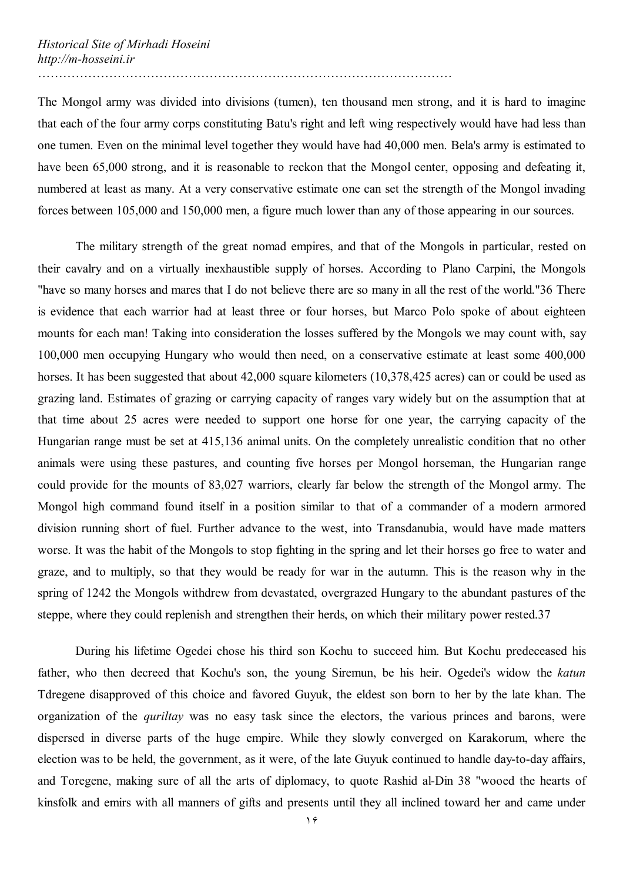The Mongol army was divided into divisions (tumen), ten thousand men strong, and it is hard to imagine that each of the four army corps constituting Batu's right and left wing respectively would have had less than one tumen. Even on the minimal level together they would have had 40,000 men. Bela's army is estimated to have been 65,000 strong, and it is reasonable to reckon that the Mongol center, opposing and defeating it,

………………………………………………………………………………………

numbered at least as many. At a very conservative estimate one can set the strength of the Mongol invading forces between 105,000 and 150,000 men, a figure much lower than any of those appearing in our sources.

The military strength of the great nomad empires, and that of the Mongols in particular, rested on their cavalry and on a virtually inexhaustible supply of horses. According to Plano Carpini, the Mongols "have so many horses and mares that I do not believe there are so many in all the rest of the world."36 There is evidence that each warrior had at least three or four horses, but Marco Polo spoke of about eighteen mounts for each man! Taking into consideration the losses suffered by the Mongols we may count with, say 100,000 men occupying Hungary who would then need, on a conservative estimate at least some 400,000 horses. It has been suggested that about 42,000 square kilometers (10,378,425 acres) can or could be used as grazing land. Estimates of grazing or carrying capacity of ranges vary widely but on the assumption that at that time about 25 acres were needed to support one horse for one year, the carrying capacity of the Hungarian range must be set at 415,136 animal units. On the completely unrealistic condition that no other animals were using these pastures, and counting five horses per Mongol horseman, the Hungarian range could provide for the mounts of 83,027 warriors, clearly far below the strength of the Mongol army. The Mongol high command found itself in a position similar to that of a commander of a modern armored division running short of fuel. Further advance to the west, into Transdanubia, would have made matters worse. It was the habit of the Mongols to stop fighting in the spring and let their horses go free to water and graze, and to multiply, so that they would be ready for war in the autumn. This is the reason why in the spring of 1242 the Mongols withdrew from devastated, overgrazed Hungary to the abundant pastures of the steppe, where they could replenish and strengthen their herds, on which their military power rested.37

During his lifetime Ogedei chose his third son Kochu to succeed him. But Kochu predeceased his father, who then decreed that Kochu's son, the young Siremun, be his heir. Ogedei's widow the *katun* Tdregene disapproved of this choice and favored Guyuk, the eldest son born to her by the late khan. The organization of the *quriltay* was no easy task since the electors, the various princes and barons, were dispersed in diverse parts of the huge empire. While they slowly converged on Karakorum, where the election was to be held, the government, as it were, of the late Guyuk continued to handle day-to-day affairs, and Toregene, making sure of all the arts of diplomacy, to quote Rashid al-Din 38 "wooed the hearts of kinsfolk and emirs with all manners of gifts and presents until they all inclined toward her and came under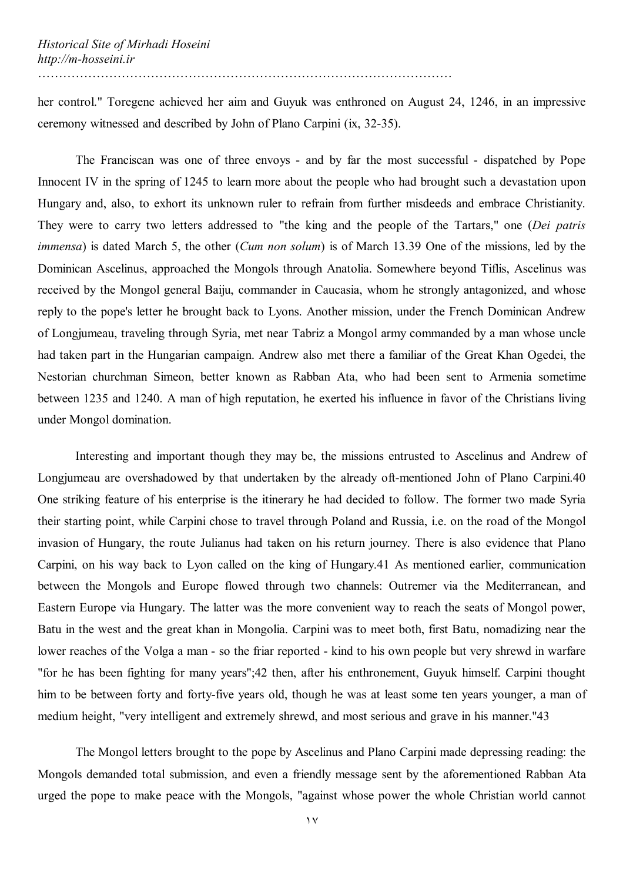her control." Toregene achieved her aim and Guyuk was enthroned on August 24, 1246, in an impressive ceremony witnessed and described by John of Plano Carpini (ix, 32-35).

The Franciscan was one of three envoys - and by far the most successful - dispatched by Pope Innocent IV in the spring of 1245 to learn more about the people who had brought such a devastation upon Hungary and, also, to exhort its unknown ruler to refrain from further misdeeds and embrace Christianity. They were to carry two letters addressed to "the king and the people of the Tartars," one (*Dei patris immensa*) is dated March 5, the other (*Cum non solum*) is of March 13.39 One of the missions, led by the Dominican Ascelinus, approached the Mongols through Anatolia. Somewhere beyond Tiflis, Ascelinus was received by the Mongol general Baiju, commander in Caucasia, whom he strongly antagonized, and whose reply to the pope's letter he brought back to Lyons. Another mission, under the French Dominican Andrew of Longjumeau, traveling through Syria, met near Tabriz a Mongol army commanded by a man whose uncle had taken part in the Hungarian campaign. Andrew also met there a familiar of the Great Khan Ogedei, the Nestorian churchman Simeon, better known as Rabban Ata, who had been sent to Armenia sometime between 1235 and 1240. A man of high reputation, he exerted his influence in favor of the Christians living under Mongol domination.

Interesting and important though they may be, the missions entrusted to Ascelinus and Andrew of Longjumeau are overshadowed by that undertaken by the already oft-mentioned John of Plano Carpini.40 One striking feature of his enterprise is the itinerary he had decided to follow. The former two made Syria their starting point, while Carpini chose to travel through Poland and Russia, i.e. on the road of the Mongol invasion of Hungary, the route Julianus had taken on his return journey. There is also evidence that Plano Carpini, on his way back to Lyon called on the king of Hungary.41 As mentioned earlier, communication between the Mongols and Europe flowed through two channels: Outremer via the Mediterranean, and Eastern Europe via Hungary. The latter was the more convenient way to reach the seats of Mongol power, Batu in the west and the great khan in Mongolia. Carpini was to meet both, first Batu, nomadizing near the lower reaches of the Volga a man - so the friar reported - kind to his own people but very shrewd in warfare "for he has been fighting for many years";42 then, after his enthronement, Guyuk himself. Carpini thought him to be between forty and forty-five years old, though he was at least some ten years younger, a man of medium height, "very intelligent and extremely shrewd, and most serious and grave in his manner."43

The Mongol letters brought to the pope by Ascelinus and Plano Carpini made depressing reading: the Mongols demanded total submission, and even a friendly message sent by the aforementioned Rabban Ata urged the pope to make peace with the Mongols, "against whose power the whole Christian world cannot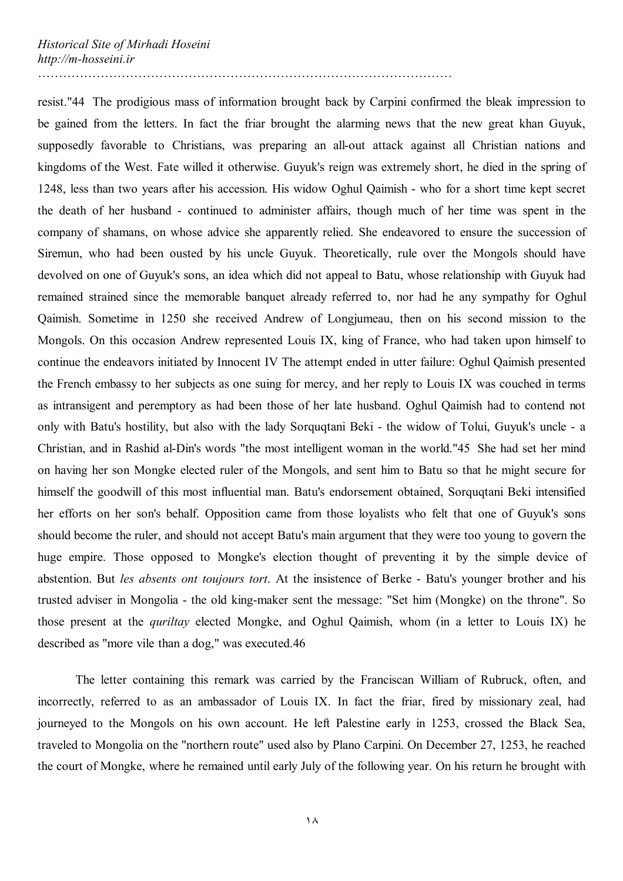resist."44 The prodigious mass of information brought back by Carpini confirmed the bleak impression to be gained from the letters. In fact the friar brought the alarming news that the new great khan Guyuk, supposedly favorable to Christians, was preparing an all-out attack against all Christian nations and kingdoms of the West. Fate willed it otherwise. Guyuk's reign was extremely short, he died in the spring of 1248, less than two years after his accession. His widow Oghul Qaimish - who for a short time kept secret the death of her husband - continued to administer affairs, though much of her time was spent in the company of shamans, on whose advice she apparently relied. She endeavored to ensure the succession of Siremun, who had been ousted by his uncle Guyuk. Theoretically, rule over the Mongols should have devolved on one of Guyuk's sons, an idea which did not appeal to Batu, whose relationship with Guyuk had remained strained since the memorable banquet already referred to, nor had he any sympathy for Oghul Qaimish. Sometime in 1250 she received Andrew of Longjumeau, then on his second mission to the Mongols. On this occasion Andrew represented Louis IX, king of France, who had taken upon himself to continue the endeavors initiated by Innocent IV The attempt ended in utter failure: Oghul Qaimish presented the French embassy to her subjects as one suing for mercy, and her reply to Louis IX was couched in terms as intransigent and peremptory as had been those of her late husband. Oghul Qaimish had to contend not only with Batu's hostility, but also with the lady Sorquqtani Beki - the widow of Tolui, Guyuk's uncle - a Christian, and in Rashid al-Din's words "the most intelligent woman in the world."45 She had set her mind on having her son Mongke elected ruler of the Mongols, and sent him to Batu so that he might secure for himself the goodwill of this most influential man. Batu's endorsement obtained, Sorquqtani Beki intensified her efforts on her son's behalf. Opposition came from those loyalists who felt that one of Guyuk's sons should become the ruler, and should not accept Batu's main argument that they were too young to govern the huge empire. Those opposed to Mongke's election thought of preventing it by the simple device of abstention. But *les absents ont toujours tort*. At the insistence of Berke - Batu's younger brother and his trusted adviser in Mongolia - the old king-maker sent the message: "Set him (Mongke) on the throne". So those present at the *quriltay* elected Mongke, and Oghul Qaimish, whom (in a letter to Louis IX) he described as "more vile than a dog," was executed.46

The letter containing this remark was carried by the Franciscan William of Rubruck, often, and incorrectly, referred to as an ambassador of Louis IX. In fact the friar, fired by missionary zeal, had journeyed to the Mongols on his own account. He left Palestine early in 1253, crossed the Black Sea, traveled to Mongolia on the "northern route" used also by Plano Carpini. On December 27, 1253, he reached the court of Mongke, where he remained until early July of the following year. On his return he brought with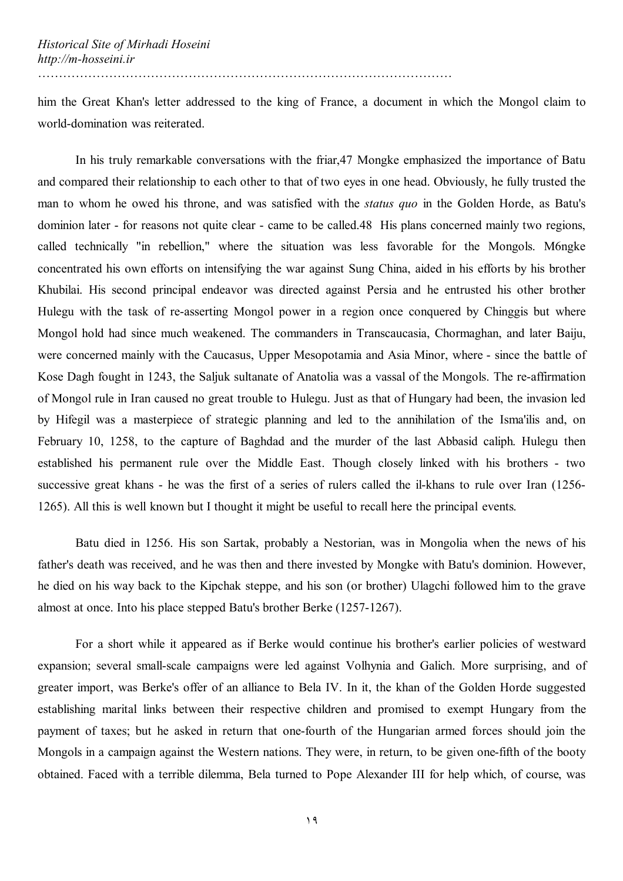him the Great Khan's letter addressed to the king of France, a document in which the Mongol claim to world-domination was reiterated.

In his truly remarkable conversations with the friar,47 Mongke emphasized the importance of Batu and compared their relationship to each other to that of two eyes in one head. Obviously, he fully trusted the man to whom he owed his throne, and was satisfied with the *status quo* in the Golden Horde, as Batu's dominion later - for reasons not quite clear - came to be called.48 His plans concerned mainly two regions, called technically "in rebellion," where the situation was less favorable for the Mongols. M6ngke concentrated his own efforts on intensifying the war against Sung China, aided in his efforts by his brother Khubilai. His second principal endeavor was directed against Persia and he entrusted his other brother Hulegu with the task of re-asserting Mongol power in a region once conquered by Chinggis but where Mongol hold had since much weakened. The commanders in Transcaucasia, Chormaghan, and later Baiju, were concerned mainly with the Caucasus, Upper Mesopotamia and Asia Minor, where - since the battle of Kose Dagh fought in 1243, the Saljuk sultanate of Anatolia was a vassal of the Mongols. The re-affirmation of Mongol rule in Iran caused no great trouble to Hulegu. Just as that of Hungary had been, the invasion led by Hifegil was a masterpiece of strategic planning and led to the annihilation of the Isma'ilis and, on February 10, 1258, to the capture of Baghdad and the murder of the last Abbasid caliph. Hulegu then established his permanent rule over the Middle East. Though closely linked with his brothers - two successive great khans - he was the first of a series of rulers called the il-khans to rule over Iran (1256- 1265). All this is well known but I thought it might be useful to recall here the principal events.

Batu died in 1256. His son Sartak, probably a Nestorian, was in Mongolia when the news of his father's death was received, and he was then and there invested by Mongke with Batu's dominion. However, he died on his way back to the Kipchak steppe, and his son (or brother) Ulagchi followed him to the grave almost at once. Into his place stepped Batu's brother Berke (1257-1267).

For a short while it appeared as if Berke would continue his brother's earlier policies of westward expansion; several small-scale campaigns were led against Volhynia and Galich. More surprising, and of greater import, was Berke's offer of an alliance to Bela IV. In it, the khan of the Golden Horde suggested establishing marital links between their respective children and promised to exempt Hungary from the payment of taxes; but he asked in return that one-fourth of the Hungarian armed forces should join the Mongols in a campaign against the Western nations. They were, in return, to be given one-fifth of the booty obtained. Faced with a terrible dilemma, Bela turned to Pope Alexander III for help which, of course, was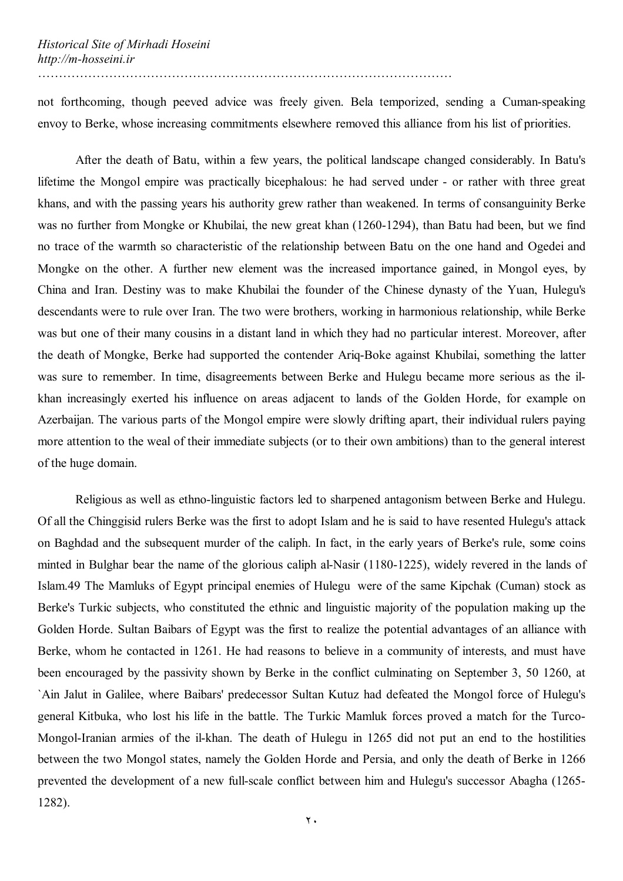not forthcoming, though peeved advice was freely given. Bela temporized, sending a Cuman-speaking envoy to Berke, whose increasing commitments elsewhere removed this alliance from his list of priorities.

After the death of Batu, within a few years, the political landscape changed considerably. In Batu's lifetime the Mongol empire was practically bicephalous: he had served under - or rather with three great khans, and with the passing years his authority grew rather than weakened. In terms of consanguinity Berke was no further from Mongke or Khubilai, the new great khan (1260-1294), than Batu had been, but we find no trace of the warmth so characteristic of the relationship between Batu on the one hand and Ogedei and Mongke on the other. A further new element was the increased importance gained, in Mongol eyes, by China and Iran. Destiny was to make Khubilai the founder of the Chinese dynasty of the Yuan, Hulegu's descendants were to rule over Iran. The two were brothers, working in harmonious relationship, while Berke was but one of their many cousins in a distant land in which they had no particular interest. Moreover, after the death of Mongke, Berke had supported the contender Ariq-Boke against Khubilai, something the latter was sure to remember. In time, disagreements between Berke and Hulegu became more serious as the ilkhan increasingly exerted his influence on areas adjacent to lands of the Golden Horde, for example on Azerbaijan. The various parts of the Mongol empire were slowly drifting apart, their individual rulers paying more attention to the weal of their immediate subjects (or to their own ambitions) than to the general interest of the huge domain.

Religious as well as ethno-linguistic factors led to sharpened antagonism between Berke and Hulegu. Of all the Chinggisid rulers Berke was the first to adopt Islam and he is said to have resented Hulegu's attack on Baghdad and the subsequent murder of the caliph. In fact, in the early years of Berke's rule, some coins minted in Bulghar bear the name of the glorious caliph al-Nasir (1180-1225), widely revered in the lands of Islam.49 The Mamluks of Egypt principal enemies of Hulegu were of the same Kipchak (Cuman) stock as Berke's Turkic subjects, who constituted the ethnic and linguistic majority of the population making up the Golden Horde. Sultan Baibars of Egypt was the first to realize the potential advantages of an alliance with Berke, whom he contacted in 1261. He had reasons to believe in a community of interests, and must have been encouraged by the passivity shown by Berke in the conflict culminating on September 3, 50 1260, at `Ain Jalut in Galilee, where Baibars' predecessor Sultan Kutuz had defeated the Mongol force of Hulegu's general Kitbuka, who lost his life in the battle. The Turkic Mamluk forces proved a match for the Turco-Mongol-Iranian armies of the il-khan. The death of Hulegu in 1265 did not put an end to the hostilities between the two Mongol states, namely the Golden Horde and Persia, and only the death of Berke in 1266 prevented the development of a new full-scale conflict between him and Hulegu's successor Abagha (1265- 1282).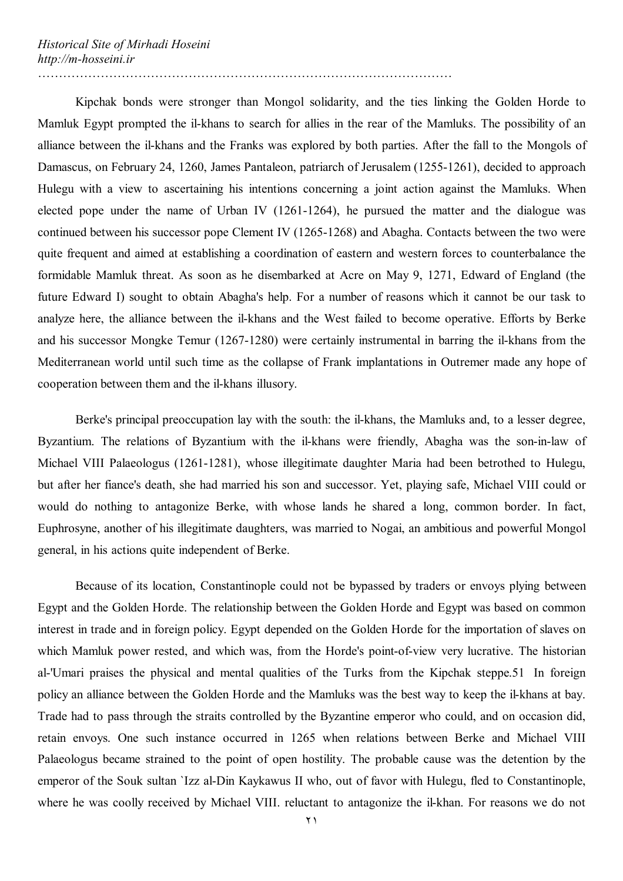Kipchak bonds were stronger than Mongol solidarity, and the ties linking the Golden Horde to Mamluk Egypt prompted the il-khans to search for allies in the rear of the Mamluks. The possibility of an alliance between the il-khans and the Franks was explored by both parties. After the fall to the Mongols of Damascus, on February 24, 1260, James Pantaleon, patriarch of Jerusalem (1255-1261), decided to approach Hulegu with a view to ascertaining his intentions concerning a joint action against the Mamluks. When elected pope under the name of Urban IV (1261-1264), he pursued the matter and the dialogue was continued between his successor pope Clement IV (1265-1268) and Abagha. Contacts between the two were quite frequent and aimed at establishing a coordination of eastern and western forces to counterbalance the formidable Mamluk threat. As soon as he disembarked at Acre on May 9, 1271, Edward of England (the future Edward I) sought to obtain Abagha's help. For a number of reasons which it cannot be our task to analyze here, the alliance between the il-khans and the West failed to become operative. Efforts by Berke and his successor Mongke Temur (1267-1280) were certainly instrumental in barring the il-khans from the Mediterranean world until such time as the collapse of Frank implantations in Outremer made any hope of cooperation between them and the il-khans illusory.

Berke's principal preoccupation lay with the south: the il-khans, the Mamluks and, to a lesser degree, Byzantium. The relations of Byzantium with the il-khans were friendly, Abagha was the son-in-law of Michael VIII Palaeologus (1261-1281), whose illegitimate daughter Maria had been betrothed to Hulegu, but after her fiance's death, she had married his son and successor. Yet, playing safe, Michael VIII could or would do nothing to antagonize Berke, with whose lands he shared a long, common border. In fact, Euphrosyne, another of his illegitimate daughters, was married to Nogai, an ambitious and powerful Mongol general, in his actions quite independent of Berke.

Because of its location, Constantinople could not be bypassed by traders or envoys plying between Egypt and the Golden Horde. The relationship between the Golden Horde and Egypt was based on common interest in trade and in foreign policy. Egypt depended on the Golden Horde for the importation of slaves on which Mamluk power rested, and which was, from the Horde's point-of-view very lucrative. The historian al-'Umari praises the physical and mental qualities of the Turks from the Kipchak steppe.51 In foreign policy an alliance between the Golden Horde and the Mamluks was the best way to keep the il-khans at bay. Trade had to pass through the straits controlled by the Byzantine emperor who could, and on occasion did, retain envoys. One such instance occurred in 1265 when relations between Berke and Michael VIII Palaeologus became strained to the point of open hostility. The probable cause was the detention by the emperor of the Souk sultan `Izz al-Din Kaykawus II who, out of favor with Hulegu, fled to Constantinople, where he was coolly received by Michael VIII. reluctant to antagonize the il-khan. For reasons we do not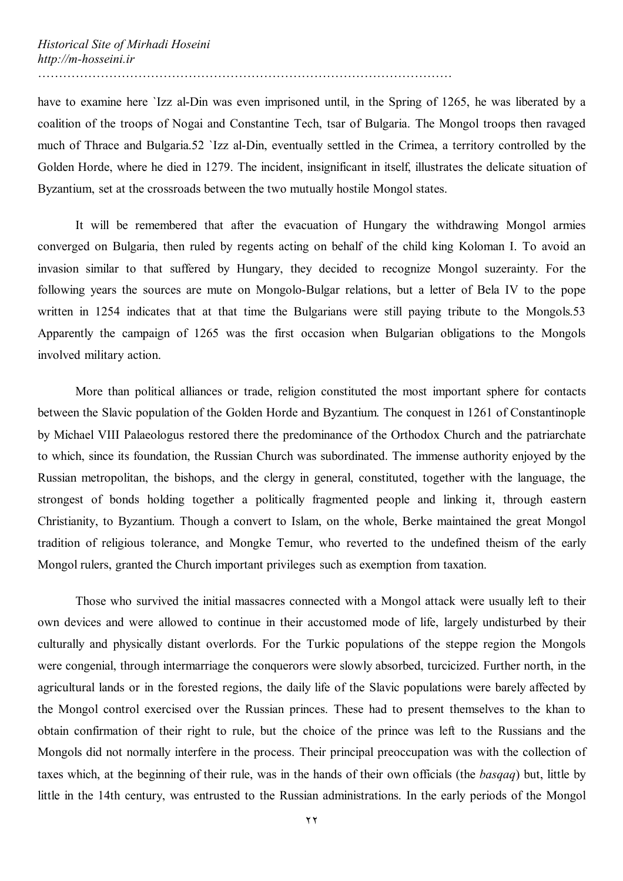have to examine here 'Izz al-Din was even imprisoned until, in the Spring of 1265, he was liberated by a coalition of the troops of Nogai and Constantine Tech, tsar of Bulgaria. The Mongol troops then ravaged much of Thrace and Bulgaria.52 `Izz al-Din, eventually settled in the Crimea, a territory controlled by the Golden Horde, where he died in 1279. The incident, insignificant in itself, illustrates the delicate situation of Byzantium, set at the crossroads between the two mutually hostile Mongol states.

It will be remembered that after the evacuation of Hungary the withdrawing Mongol armies converged on Bulgaria, then ruled by regents acting on behalf of the child king Koloman I. To avoid an invasion similar to that suffered by Hungary, they decided to recognize Mongol suzerainty. For the following years the sources are mute on Mongolo-Bulgar relations, but a letter of Bela IV to the pope written in 1254 indicates that at that time the Bulgarians were still paying tribute to the Mongols.53 Apparently the campaign of 1265 was the first occasion when Bulgarian obligations to the Mongols involved military action.

More than political alliances or trade, religion constituted the most important sphere for contacts between the Slavic population of the Golden Horde and Byzantium. The conquest in 1261 of Constantinople by Michael VIII Palaeologus restored there the predominance of the Orthodox Church and the patriarchate to which, since its foundation, the Russian Church was subordinated. The immense authority enjoyed by the Russian metropolitan, the bishops, and the clergy in general, constituted, together with the language, the strongest of bonds holding together a politically fragmented people and linking it, through eastern Christianity, to Byzantium. Though a convert to Islam, on the whole, Berke maintained the great Mongol tradition of religious tolerance, and Mongke Temur, who reverted to the undefined theism of the early Mongol rulers, granted the Church important privileges such as exemption from taxation.

Those who survived the initial massacres connected with a Mongol attack were usually left to their own devices and were allowed to continue in their accustomed mode of life, largely undisturbed by their culturally and physically distant overlords. For the Turkic populations of the steppe region the Mongols were congenial, through intermarriage the conquerors were slowly absorbed, turcicized. Further north, in the agricultural lands or in the forested regions, the daily life of the Slavic populations were barely affected by the Mongol control exercised over the Russian princes. These had to present themselves to the khan to obtain confirmation of their right to rule, but the choice of the prince was left to the Russians and the Mongols did not normally interfere in the process. Their principal preoccupation was with the collection of taxes which, at the beginning of their rule, was in the hands of their own officials (the *basqaq*) but, little by little in the 14th century, was entrusted to the Russian administrations. In the early periods of the Mongol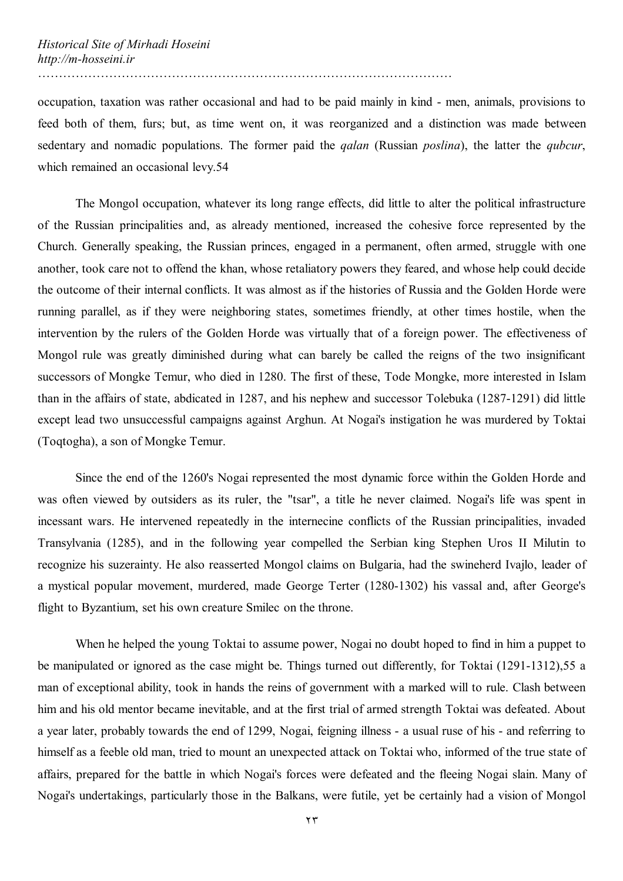occupation, taxation was rather occasional and had to be paid mainly in kind - men, animals, provisions to feed both of them, furs; but, as time went on, it was reorganized and a distinction was made between sedentary and nomadic populations. The former paid the *qalan* (Russian *poslina*), the latter the *qubcur*, which remained an occasional levy.54

………………………………………………………………………………………

The Mongol occupation, whatever its long range effects, did little to alter the political infrastructure of the Russian principalities and, as already mentioned, increased the cohesive force represented by the Church. Generally speaking, the Russian princes, engaged in a permanent, often armed, struggle with one another, took care not to offend the khan, whose retaliatory powers they feared, and whose help could decide the outcome of their internal conflicts. It was almost as if the histories of Russia and the Golden Horde were running parallel, as if they were neighboring states, sometimes friendly, at other times hostile, when the intervention by the rulers of the Golden Horde was virtually that of a foreign power. The effectiveness of Mongol rule was greatly diminished during what can barely be called the reigns of the two insignificant successors of Mongke Temur, who died in 1280. The first of these, Tode Mongke, more interested in Islam than in the affairs of state, abdicated in 1287, and his nephew and successor Tolebuka (1287-1291) did little except lead two unsuccessful campaigns against Arghun. At Nogai's instigation he was murdered by Toktai (Toqtogha), a son of Mongke Temur.

Since the end of the 1260's Nogai represented the most dynamic force within the Golden Horde and was often viewed by outsiders as its ruler, the "tsar", a title he never claimed. Nogai's life was spent in incessant wars. He intervened repeatedly in the internecine conflicts of the Russian principalities, invaded Transylvania (1285), and in the following year compelled the Serbian king Stephen Uros II Milutin to recognize his suzerainty. He also reasserted Mongol claims on Bulgaria, had the swineherd Ivajlo, leader of a mystical popular movement, murdered, made George Terter (1280-1302) his vassal and, after George's flight to Byzantium, set his own creature Smilec on the throne.

When he helped the young Toktai to assume power, Nogai no doubt hoped to find in him a puppet to be manipulated or ignored as the case might be. Things turned out differently, for Toktai (1291-1312),55 a man of exceptional ability, took in hands the reins of government with a marked will to rule. Clash between him and his old mentor became inevitable, and at the first trial of armed strength Toktai was defeated. About a year later, probably towards the end of 1299, Nogai, feigning illness - a usual ruse of his - and referring to himself as a feeble old man, tried to mount an unexpected attack on Toktai who, informed of the true state of affairs, prepared for the battle in which Nogai's forces were defeated and the fleeing Nogai slain. Many of Nogai's undertakings, particularly those in the Balkans, were futile, yet be certainly had a vision of Mongol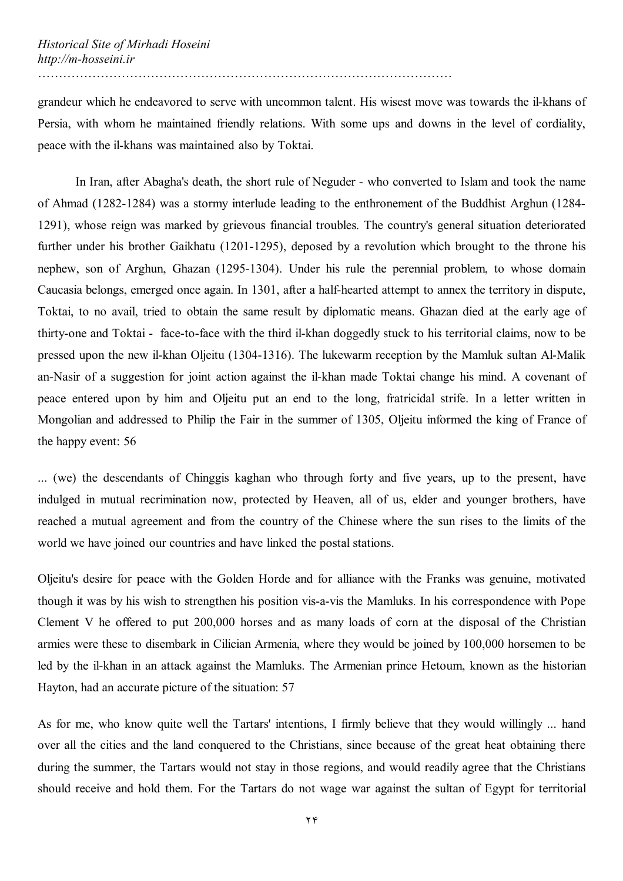grandeur which he endeavored to serve with uncommon talent. His wisest move was towards the il-khans of Persia, with whom he maintained friendly relations. With some ups and downs in the level of cordiality, peace with the il-khans was maintained also by Toktai.

In Iran, after Abagha's death, the short rule of Neguder - who converted to Islam and took the name of Ahmad (1282-1284) was a stormy interlude leading to the enthronement of the Buddhist Arghun (1284- 1291), whose reign was marked by grievous financial troubles. The country's general situation deteriorated further under his brother Gaikhatu (1201-1295), deposed by a revolution which brought to the throne his nephew, son of Arghun, Ghazan (1295-1304). Under his rule the perennial problem, to whose domain Caucasia belongs, emerged once again. In 1301, after a half-hearted attempt to annex the territory in dispute, Toktai, to no avail, tried to obtain the same result by diplomatic means. Ghazan died at the early age of thirty-one and Toktai - face-to-face with the third il-khan doggedly stuck to his territorial claims, now to be pressed upon the new il-khan Oljeitu (1304-1316). The lukewarm reception by the Mamluk sultan Al-Malik an-Nasir of a suggestion for joint action against the il-khan made Toktai change his mind. A covenant of peace entered upon by him and Oljeitu put an end to the long, fratricidal strife. In a letter written in Mongolian and addressed to Philip the Fair in the summer of 1305, Oljeitu informed the king of France of the happy event: 56

... (we) the descendants of Chinggis kaghan who through forty and five years, up to the present, have indulged in mutual recrimination now, protected by Heaven, all of us, elder and younger brothers, have reached a mutual agreement and from the country of the Chinese where the sun rises to the limits of the world we have joined our countries and have linked the postal stations.

Oljeitu's desire for peace with the Golden Horde and for alliance with the Franks was genuine, motivated though it was by his wish to strengthen his position vis-a-vis the Mamluks. In his correspondence with Pope Clement V he offered to put 200,000 horses and as many loads of corn at the disposal of the Christian armies were these to disembark in Cilician Armenia, where they would be joined by 100,000 horsemen to be led by the il-khan in an attack against the Mamluks. The Armenian prince Hetoum, known as the historian Hayton, had an accurate picture of the situation: 57

As for me, who know quite well the Tartars' intentions, I firmly believe that they would willingly ... hand over all the cities and the land conquered to the Christians, since because of the great heat obtaining there during the summer, the Tartars would not stay in those regions, and would readily agree that the Christians should receive and hold them. For the Tartars do not wage war against the sultan of Egypt for territorial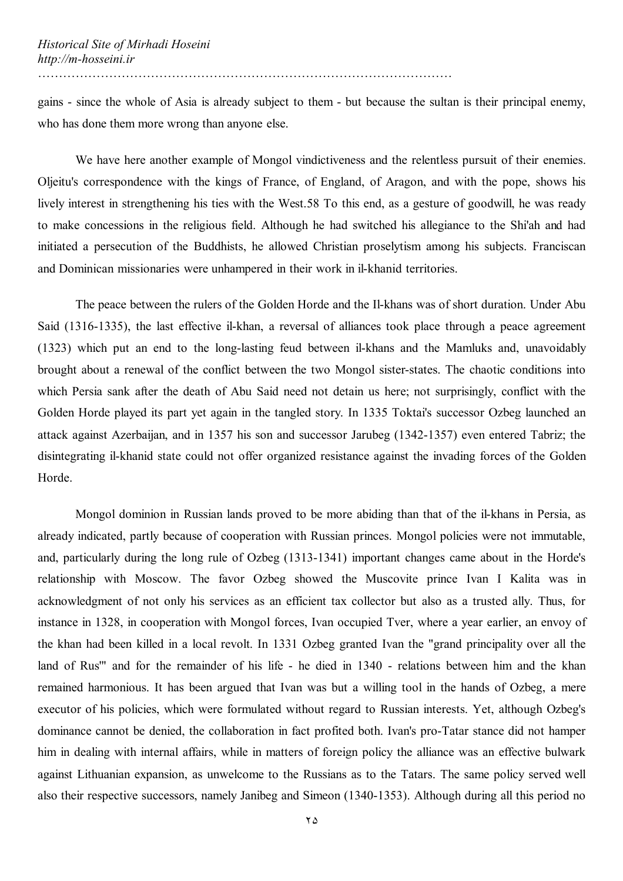gains - since the whole of Asia is already subject to them - but because the sultan is their principal enemy, who has done them more wrong than anyone else.

We have here another example of Mongol vindictiveness and the relentless pursuit of their enemies. Oljeitu's correspondence with the kings of France, of England, of Aragon, and with the pope, shows his lively interest in strengthening his ties with the West.58 To this end, as a gesture of goodwill, he was ready to make concessions in the religious field. Although he had switched his allegiance to the Shi'ah and had initiated a persecution of the Buddhists, he allowed Christian proselytism among his subjects. Franciscan and Dominican missionaries were unhampered in their work in il-khanid territories.

The peace between the rulers of the Golden Horde and the Il-khans was of short duration. Under Abu Said (1316-1335), the last effective il-khan, a reversal of alliances took place through a peace agreement (1323) which put an end to the long-lasting feud between il-khans and the Mamluks and, unavoidably brought about a renewal of the conflict between the two Mongol sister-states. The chaotic conditions into which Persia sank after the death of Abu Said need not detain us here; not surprisingly, conflict with the Golden Horde played its part yet again in the tangled story. In 1335 Toktai's successor Ozbeg launched an attack against Azerbaijan, and in 1357 his son and successor Jarubeg (1342-1357) even entered Tabriz; the disintegrating il-khanid state could not offer organized resistance against the invading forces of the Golden Horde.

Mongol dominion in Russian lands proved to be more abiding than that of the il-khans in Persia, as already indicated, partly because of cooperation with Russian princes. Mongol policies were not immutable, and, particularly during the long rule of Ozbeg (1313-1341) important changes came about in the Horde's relationship with Moscow. The favor Ozbeg showed the Muscovite prince Ivan I Kalita was in acknowledgment of not only his services as an efficient tax collector but also as a trusted ally. Thus, for instance in 1328, in cooperation with Mongol forces, Ivan occupied Tver, where a year earlier, an envoy of the khan had been killed in a local revolt. In 1331 Ozbeg granted Ivan the "grand principality over all the land of Rus'" and for the remainder of his life - he died in 1340 - relations between him and the khan remained harmonious. It has been argued that Ivan was but a willing tool in the hands of Ozbeg, a mere executor of his policies, which were formulated without regard to Russian interests. Yet, although Ozbeg's dominance cannot be denied, the collaboration in fact profited both. Ivan's pro-Tatar stance did not hamper him in dealing with internal affairs, while in matters of foreign policy the alliance was an effective bulwark against Lithuanian expansion, as unwelcome to the Russians as to the Tatars. The same policy served well also their respective successors, namely Janibeg and Simeon (1340-1353). Although during all this period no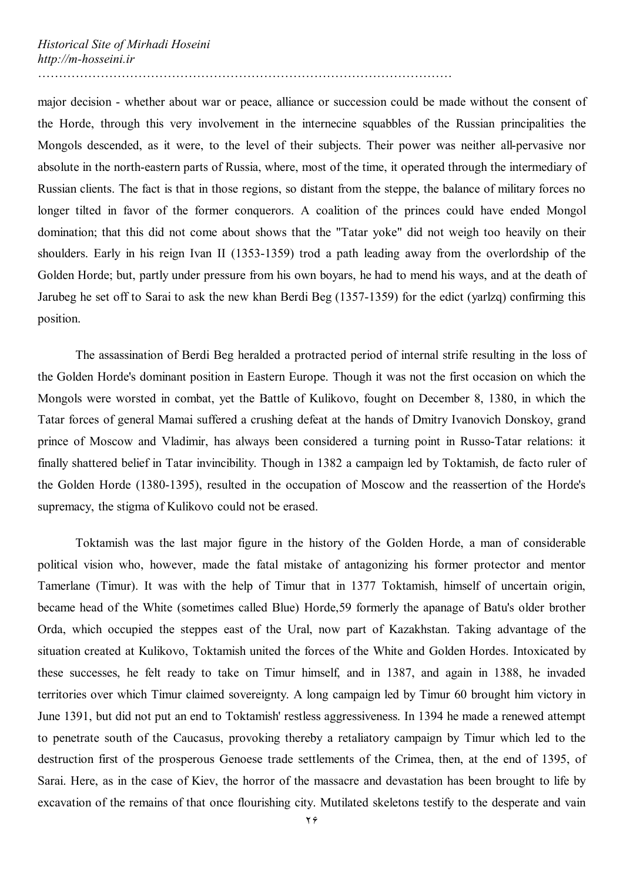major decision - whether about war or peace, alliance or succession could be made without the consent of the Horde, through this very involvement in the internecine squabbles of the Russian principalities the Mongols descended, as it were, to the level of their subjects. Their power was neither all-pervasive nor absolute in the north-eastern parts of Russia, where, most of the time, it operated through the intermediary of Russian clients. The fact is that in those regions, so distant from the steppe, the balance of military forces no longer tilted in favor of the former conquerors. A coalition of the princes could have ended Mongol domination; that this did not come about shows that the "Tatar yoke" did not weigh too heavily on their shoulders. Early in his reign Ivan II (1353-1359) trod a path leading away from the overlordship of the Golden Horde; but, partly under pressure from his own boyars, he had to mend his ways, and at the death of Jarubeg he set off to Sarai to ask the new khan Berdi Beg (1357-1359) for the edict (yarlzq) confirming this position.

………………………………………………………………………………………

The assassination of Berdi Beg heralded a protracted period of internal strife resulting in the loss of the Golden Horde's dominant position in Eastern Europe. Though it was not the first occasion on which the Mongols were worsted in combat, yet the Battle of Kulikovo, fought on December 8, 1380, in which the Tatar forces of general Mamai suffered a crushing defeat at the hands of Dmitry Ivanovich Donskoy, grand prince of Moscow and Vladimir, has always been considered a turning point in Russo-Tatar relations: it finally shattered belief in Tatar invincibility. Though in 1382 a campaign led by Toktamish, de facto ruler of the Golden Horde (1380-1395), resulted in the occupation of Moscow and the reassertion of the Horde's supremacy, the stigma of Kulikovo could not be erased.

Toktamish was the last major figure in the history of the Golden Horde, a man of considerable political vision who, however, made the fatal mistake of antagonizing his former protector and mentor Tamerlane (Timur). It was with the help of Timur that in 1377 Toktamish, himself of uncertain origin, became head of the White (sometimes called Blue) Horde,59 formerly the apanage of Batu's older brother Orda, which occupied the steppes east of the Ural, now part of Kazakhstan. Taking advantage of the situation created at Kulikovo, Toktamish united the forces of the White and Golden Hordes. Intoxicated by these successes, he felt ready to take on Timur himself, and in 1387, and again in 1388, he invaded territories over which Timur claimed sovereignty. A long campaign led by Timur 60 brought him victory in June 1391, but did not put an end to Toktamish' restless aggressiveness. In 1394 he made a renewed attempt to penetrate south of the Caucasus, provoking thereby a retaliatory campaign by Timur which led to the destruction first of the prosperous Genoese trade settlements of the Crimea, then, at the end of 1395, of Sarai. Here, as in the case of Kiev, the horror of the massacre and devastation has been brought to life by excavation of the remains of that once flourishing city. Mutilated skeletons testify to the desperate and vain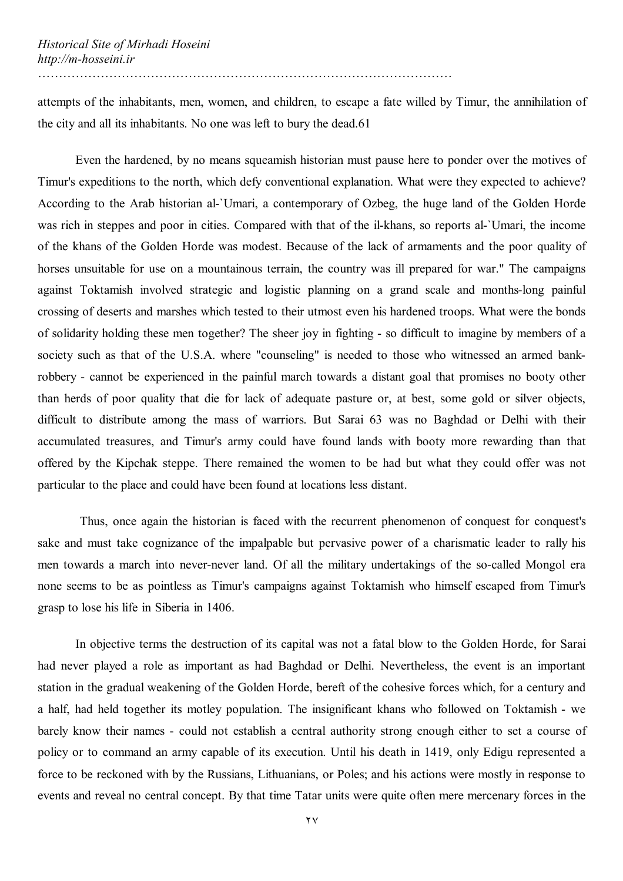attempts of the inhabitants, men, women, and children, to escape a fate willed by Timur, the annihilation of the city and all its inhabitants. No one was left to bury the dead.61

Even the hardened, by no means squeamish historian must pause here to ponder over the motives of Timur's expeditions to the north, which defy conventional explanation. What were they expected to achieve? According to the Arab historian al-`Umari, a contemporary of Ozbeg, the huge land of the Golden Horde was rich in steppes and poor in cities. Compared with that of the il-khans, so reports al-`Umari, the income of the khans of the Golden Horde was modest. Because of the lack of armaments and the poor quality of horses unsuitable for use on a mountainous terrain, the country was ill prepared for war." The campaigns against Toktamish involved strategic and logistic planning on a grand scale and months-long painful crossing of deserts and marshes which tested to their utmost even his hardened troops. What were the bonds of solidarity holding these men together? The sheer joy in fighting - so difficult to imagine by members of a society such as that of the U.S.A. where "counseling" is needed to those who witnessed an armed bankrobbery - cannot be experienced in the painful march towards a distant goal that promises no booty other than herds of poor quality that die for lack of adequate pasture or, at best, some gold or silver objects, difficult to distribute among the mass of warriors. But Sarai 63 was no Baghdad or Delhi with their accumulated treasures, and Timur's army could have found lands with booty more rewarding than that offered by the Kipchak steppe. There remained the women to be had but what they could offer was not particular to the place and could have been found at locations less distant.

 Thus, once again the historian is faced with the recurrent phenomenon of conquest for conquest's sake and must take cognizance of the impalpable but pervasive power of a charismatic leader to rally his men towards a march into never-never land. Of all the military undertakings of the so-called Mongol era none seems to be as pointless as Timur's campaigns against Toktamish who himself escaped from Timur's grasp to lose his life in Siberia in 1406.

In objective terms the destruction of its capital was not a fatal blow to the Golden Horde, for Sarai had never played a role as important as had Baghdad or Delhi. Nevertheless, the event is an important station in the gradual weakening of the Golden Horde, bereft of the cohesive forces which, for a century and a half, had held together its motley population. The insignificant khans who followed on Toktamish - we barely know their names - could not establish a central authority strong enough either to set a course of policy or to command an army capable of its execution. Until his death in 1419, only Edigu represented a force to be reckoned with by the Russians, Lithuanians, or Poles; and his actions were mostly in response to events and reveal no central concept. By that time Tatar units were quite often mere mercenary forces in the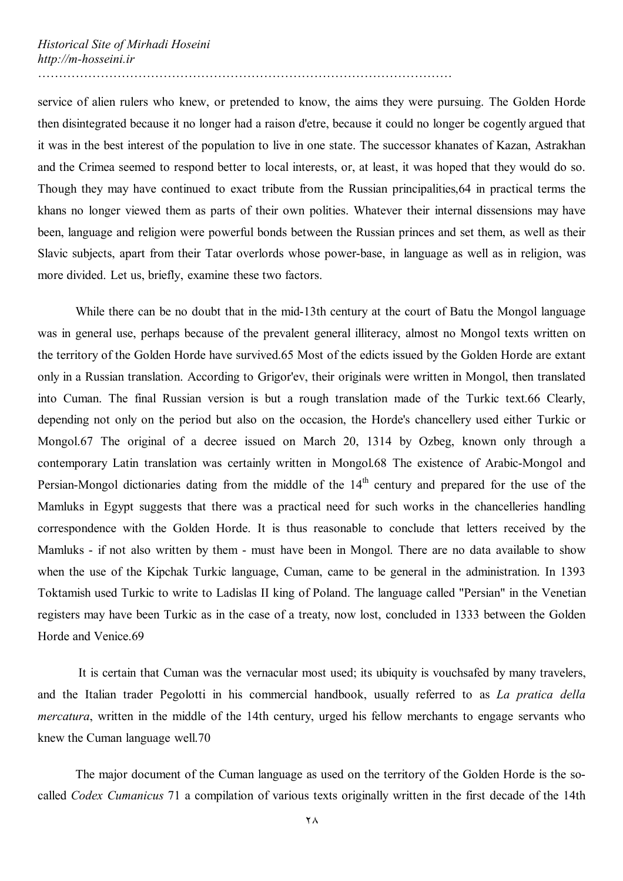service of alien rulers who knew, or pretended to know, the aims they were pursuing. The Golden Horde then disintegrated because it no longer had a raison d'etre, because it could no longer be cogently argued that it was in the best interest of the population to live in one state. The successor khanates of Kazan, Astrakhan and the Crimea seemed to respond better to local interests, or, at least, it was hoped that they would do so. Though they may have continued to exact tribute from the Russian principalities,64 in practical terms the khans no longer viewed them as parts of their own polities. Whatever their internal dissensions may have been, language and religion were powerful bonds between the Russian princes and set them, as well as their Slavic subjects, apart from their Tatar overlords whose power-base, in language as well as in religion, was more divided. Let us, briefly, examine these two factors.

………………………………………………………………………………………

While there can be no doubt that in the mid-13th century at the court of Batu the Mongol language was in general use, perhaps because of the prevalent general illiteracy, almost no Mongol texts written on the territory of the Golden Horde have survived.65 Most of the edicts issued by the Golden Horde are extant only in a Russian translation. According to Grigor'ev, their originals were written in Mongol, then translated into Cuman. The final Russian version is but a rough translation made of the Turkic text.66 Clearly, depending not only on the period but also on the occasion, the Horde's chancellery used either Turkic or Mongol.67 The original of a decree issued on March 20, 1314 by Ozbeg, known only through a contemporary Latin translation was certainly written in Mongol.68 The existence of Arabic-Mongol and Persian-Mongol dictionaries dating from the middle of the  $14<sup>th</sup>$  century and prepared for the use of the Mamluks in Egypt suggests that there was a practical need for such works in the chancelleries handling correspondence with the Golden Horde. It is thus reasonable to conclude that letters received by the Mamluks - if not also written by them - must have been in Mongol. There are no data available to show when the use of the Kipchak Turkic language, Cuman, came to be general in the administration. In 1393 Toktamish used Turkic to write to Ladislas II king of Poland. The language called "Persian" in the Venetian registers may have been Turkic as in the case of a treaty, now lost, concluded in 1333 between the Golden Horde and Venice.69

 It is certain that Cuman was the vernacular most used; its ubiquity is vouchsafed by many travelers, and the Italian trader Pegolotti in his commercial handbook, usually referred to as *La pratica della mercatura*, written in the middle of the 14th century, urged his fellow merchants to engage servants who knew the Cuman language well.70

The major document of the Cuman language as used on the territory of the Golden Horde is the socalled *Codex Cumanicus* 71 a compilation of various texts originally written in the first decade of the 14th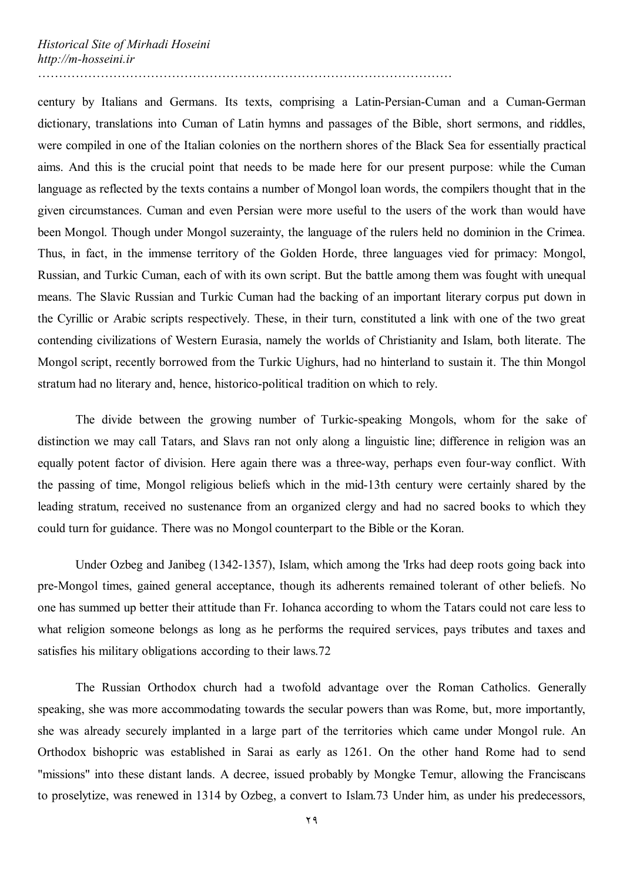century by Italians and Germans. Its texts, comprising a Latin-Persian-Cuman and a Cuman-German dictionary, translations into Cuman of Latin hymns and passages of the Bible, short sermons, and riddles, were compiled in one of the Italian colonies on the northern shores of the Black Sea for essentially practical aims. And this is the crucial point that needs to be made here for our present purpose: while the Cuman language as reflected by the texts contains a number of Mongol loan words, the compilers thought that in the given circumstances. Cuman and even Persian were more useful to the users of the work than would have been Mongol. Though under Mongol suzerainty, the language of the rulers held no dominion in the Crimea. Thus, in fact, in the immense territory of the Golden Horde, three languages vied for primacy: Mongol, Russian, and Turkic Cuman, each of with its own script. But the battle among them was fought with unequal means. The Slavic Russian and Turkic Cuman had the backing of an important literary corpus put down in the Cyrillic or Arabic scripts respectively. These, in their turn, constituted a link with one of the two great contending civilizations of Western Eurasia, namely the worlds of Christianity and Islam, both literate. The Mongol script, recently borrowed from the Turkic Uighurs, had no hinterland to sustain it. The thin Mongol stratum had no literary and, hence, historico-political tradition on which to rely.

The divide between the growing number of Turkic-speaking Mongols, whom for the sake of distinction we may call Tatars, and Slavs ran not only along a linguistic line; difference in religion was an equally potent factor of division. Here again there was a three-way, perhaps even four-way conflict. With the passing of time, Mongol religious beliefs which in the mid-13th century were certainly shared by the leading stratum, received no sustenance from an organized clergy and had no sacred books to which they could turn for guidance. There was no Mongol counterpart to the Bible or the Koran.

Under Ozbeg and Janibeg (1342-1357), Islam, which among the 'Irks had deep roots going back into pre-Mongol times, gained general acceptance, though its adherents remained tolerant of other beliefs. No one has summed up better their attitude than Fr. Iohanca according to whom the Tatars could not care less to what religion someone belongs as long as he performs the required services, pays tributes and taxes and satisfies his military obligations according to their laws.72

The Russian Orthodox church had a twofold advantage over the Roman Catholics. Generally speaking, she was more accommodating towards the secular powers than was Rome, but, more importantly, she was already securely implanted in a large part of the territories which came under Mongol rule. An Orthodox bishopric was established in Sarai as early as 1261. On the other hand Rome had to send "missions" into these distant lands. A decree, issued probably by Mongke Temur, allowing the Franciscans to proselytize, was renewed in 1314 by Ozbeg, a convert to Islam.73 Under him, as under his predecessors,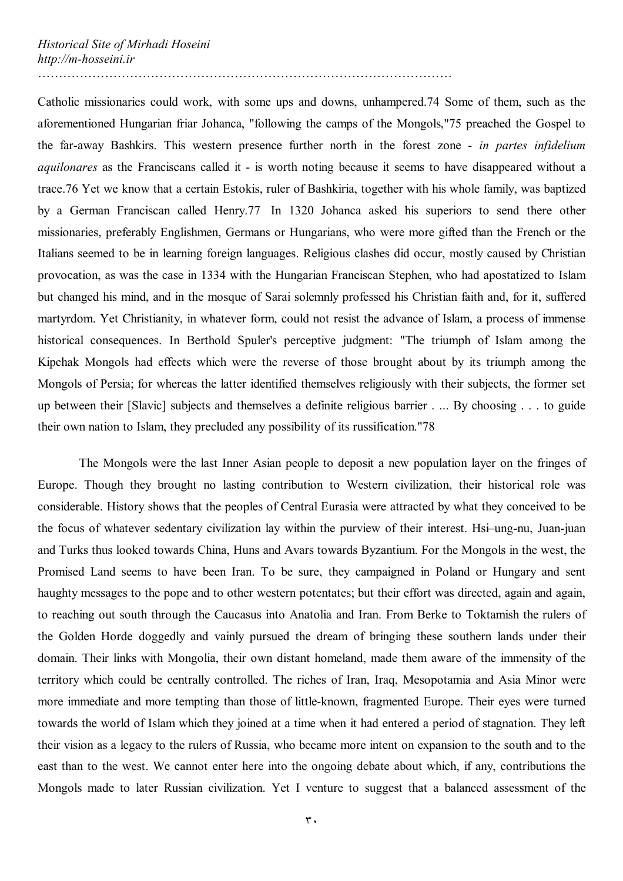Catholic missionaries could work, with some ups and downs, unhampered.74 Some of them, such as the aforementioned Hungarian friar Johanca, "following the camps of the Mongols,"75 preached the Gospel to the far-away Bashkirs. This western presence further north in the forest zone - *in partes infidelium aquilonares* as the Franciscans called it - is worth noting because it seems to have disappeared without a trace.76 Yet we know that a certain Estokis, ruler of Bashkiria, together with his whole family, was baptized by a German Franciscan called Henry.77 In 1320 Johanca asked his superiors to send there other missionaries, preferably Englishmen, Germans or Hungarians, who were more gifted than the French or the Italians seemed to be in learning foreign languages. Religious clashes did occur, mostly caused by Christian provocation, as was the case in 1334 with the Hungarian Franciscan Stephen, who had apostatized to Islam but changed his mind, and in the mosque of Sarai solemnly professed his Christian faith and, for it, suffered martyrdom. Yet Christianity, in whatever form, could not resist the advance of Islam, a process of immense historical consequences. In Berthold Spuler's perceptive judgment: "The triumph of Islam among the Kipchak Mongols had effects which were the reverse of those brought about by its triumph among the Mongols of Persia; for whereas the latter identified themselves religiously with their subjects, the former set up between their [Slavic] subjects and themselves a definite religious barrier . ... By choosing . . . to guide their own nation to Islam, they precluded any possibility of its russification."78

 The Mongols were the last Inner Asian people to deposit a new population layer on the fringes of Europe. Though they brought no lasting contribution to Western civilization, their historical role was considerable. History shows that the peoples of Central Eurasia were attracted by what they conceived to be the focus of whatever sedentary civilization lay within the purview of their interest. Hsi–ung-nu, Juan-juan and Turks thus looked towards China, Huns and Avars towards Byzantium. For the Mongols in the west, the Promised Land seems to have been Iran. To be sure, they campaigned in Poland or Hungary and sent haughty messages to the pope and to other western potentates; but their effort was directed, again and again, to reaching out south through the Caucasus into Anatolia and Iran. From Berke to Toktamish the rulers of the Golden Horde doggedly and vainly pursued the dream of bringing these southern lands under their domain. Their links with Mongolia, their own distant homeland, made them aware of the immensity of the territory which could be centrally controlled. The riches of Iran, Iraq, Mesopotamia and Asia Minor were more immediate and more tempting than those of little-known, fragmented Europe. Their eyes were turned towards the world of Islam which they joined at a time when it had entered a period of stagnation. They left their vision as a legacy to the rulers of Russia, who became more intent on expansion to the south and to the east than to the west. We cannot enter here into the ongoing debate about which, if any, contributions the Mongols made to later Russian civilization. Yet I venture to suggest that a balanced assessment of the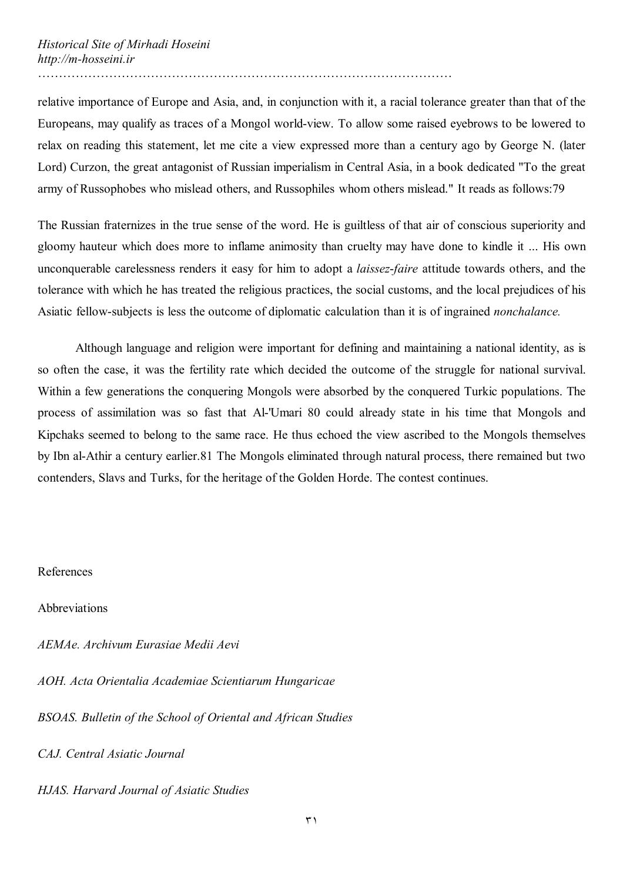relative importance of Europe and Asia, and, in conjunction with it, a racial tolerance greater than that of the Europeans, may qualify as traces of a Mongol world-view. To allow some raised eyebrows to be lowered to relax on reading this statement, let me cite a view expressed more than a century ago by George N. (later Lord) Curzon, the great antagonist of Russian imperialism in Central Asia, in a book dedicated "To the great army of Russophobes who mislead others, and Russophiles whom others mislead." It reads as follows:79

The Russian fraternizes in the true sense of the word. He is guiltless of that air of conscious superiority and gloomy hauteur which does more to inflame animosity than cruelty may have done to kindle it ... His own unconquerable carelessness renders it easy for him to adopt a *laissez*-*faire* attitude towards others, and the tolerance with which he has treated the religious practices, the social customs, and the local prejudices of his Asiatic fellow-subjects is less the outcome of diplomatic calculation than it is of ingrained *nonchalance.* 

Although language and religion were important for defining and maintaining a national identity, as is so often the case, it was the fertility rate which decided the outcome of the struggle for national survival. Within a few generations the conquering Mongols were absorbed by the conquered Turkic populations. The process of assimilation was so fast that Al-'Umari 80 could already state in his time that Mongols and Kipchaks seemed to belong to the same race. He thus echoed the view ascribed to the Mongols themselves by Ibn al-Athir a century earlier.81 The Mongols eliminated through natural process, there remained but two contenders, Slavs and Turks, for the heritage of the Golden Horde. The contest continues.

References

Abbreviations

*AEMAe. Archivum Eurasiae Medii Aevi* 

*AOH. Acta Orientalia Academiae Scientiarum Hungaricae* 

*BSOAS. Bulletin of the School of Oriental and African Studies* 

*CAJ. Central Asiatic Journal* 

*HJAS. Harvard Journal of Asiatic Studies*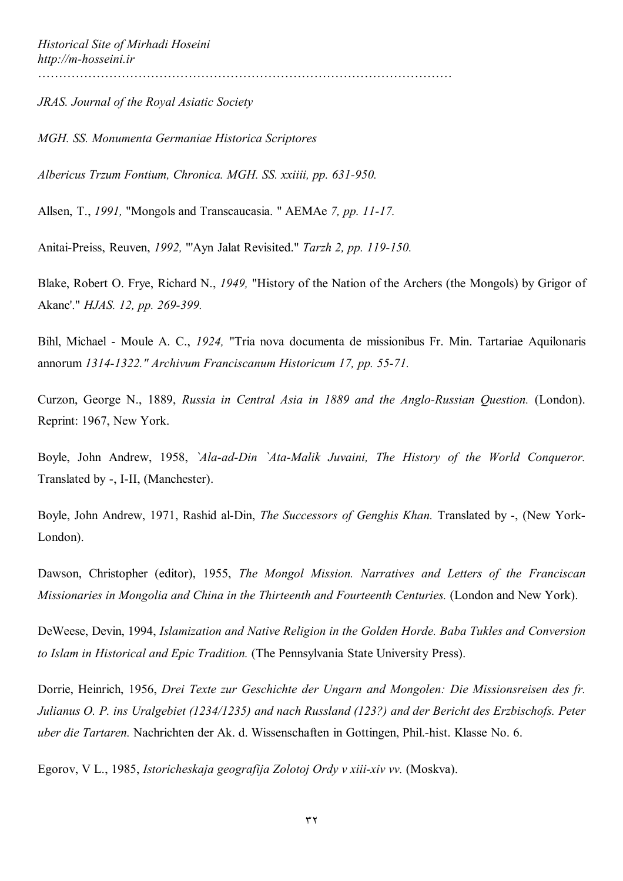*JRAS. Journal of the Royal Asiatic Society* 

*MGH. SS. Monumenta Germaniae Historica Scriptores* 

*Albericus Trzum Fontium, Chronica. MGH. SS. xxiiii, pp. 631-950.* 

Allsen, T., *1991,* "Mongols and Transcaucasia. " AEMAe *7, pp. 11-17.* 

Anitai-Preiss, Reuven, *1992,* "'Ayn Jalat Revisited." *Tarzh 2, pp. 119-150.* 

Blake, Robert O. Frye, Richard N., *1949,* "History of the Nation of the Archers (the Mongols) by Grigor of Akanc'." *HJAS. 12, pp. 269-399.* 

Bihl, Michael - Moule A. C., *1924,* "Tria nova documenta de missionibus Fr. Min. Tartariae Aquilonaris annorum *1314-1322." Archivum Franciscanum Historicum 17, pp. 55-71.* 

Curzon, George N., 1889, *Russia in Central Asia in 1889 and the Anglo-Russian Question.* (London). Reprint: 1967, New York.

Boyle, John Andrew, 1958, *`Ala-ad-Din `Ata-Malik Juvaini, The History of the World Conqueror.*  Translated by -, I-II, (Manchester).

Boyle, John Andrew, 1971, Rashid al-Din, *The Successors of Genghis Khan.* Translated by -, (New York-London).

Dawson, Christopher (editor), 1955, *The Mongol Mission. Narratives and Letters of the Franciscan Missionaries in Mongolia and China in the Thirteenth and Fourteenth Centuries.* (London and New York).

DeWeese, Devin, 1994, *Islamization and Native Religion in the Golden Horde. Baba Tukles and Conversion to Islam in Historical and Epic Tradition.* (The Pennsylvania State University Press).

Dorrie, Heinrich, 1956, *Drei Texte zur Geschichte der Ungarn and Mongolen: Die Missionsreisen des fr. Julianus O. P. ins Uralgebiet (1234/1235) and nach Russland (123?) and der Bericht des Erzbischofs. Peter uber die Tartaren.* Nachrichten der Ak. d. Wissenschaften in Gottingen, Phil.-hist. Klasse No. 6.

Egorov, V L., 1985, *Istoricheskaja geografija Zolotoj Ordy v xiii-xiv vv.* (Moskva).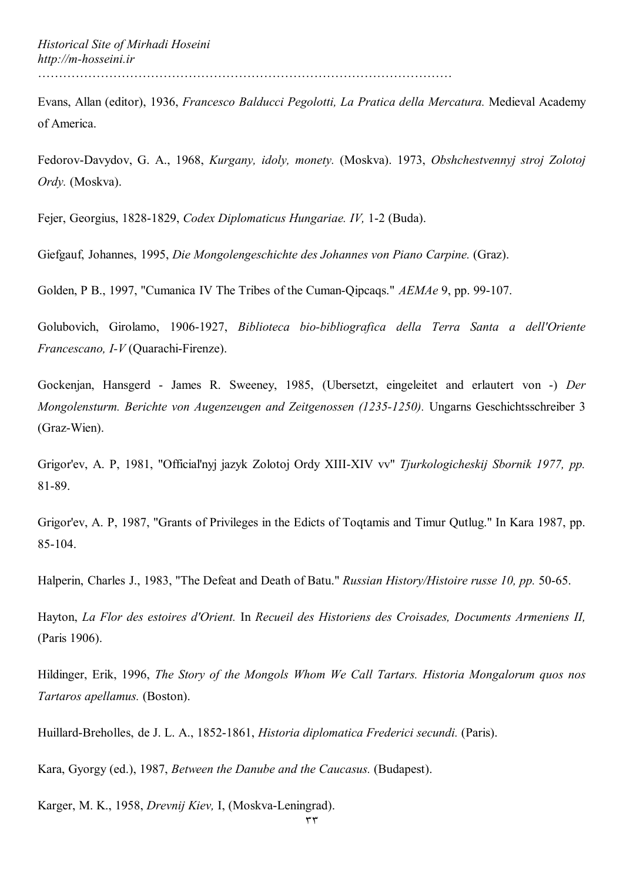Evans, Allan (editor), 1936, *Francesco Balducci Pegolotti, La Pratica della Mercatura.* Medieval Academy of America.

Fedorov-Davydov, G. A., 1968, *Kurgany, idoly, monety.* (Moskva). 1973, *Obshchestvennyj stroj Zolotoj Ordy.* (Moskva).

Fejer, Georgius, 1828-1829, *Codex Diplomaticus Hungariae. IV,* 1-2 (Buda).

Giefgauf, Johannes, 1995, *Die Mongolengeschichte des Johannes von Piano Carpine.* (Graz).

Golden, P B., 1997, "Cumanica IV The Tribes of the Cuman-Qipcaqs." *AEMAe* 9, pp. 99-107.

Golubovich, Girolamo, 1906-1927, *Biblioteca bio-bibliografica della Terra Santa a dell'Oriente Francescano, I-V* (Quarachi-Firenze).

Gockenjan, Hansgerd - James R. Sweeney, 1985, (Ubersetzt, eingeleitet and erlautert von -) *Der Mongolensturm. Berichte von Augenzeugen and Zeitgenossen (1235-1250).* Ungarns Geschichtsschreiber 3 (Graz-Wien).

Grigor'ev, A. P, 1981, "Official'nyj jazyk Zolotoj Ordy XIII-XIV vv" *Tjurkologicheskij Sbornik 1977, pp.*  81-89.

Grigor'ev, A. P, 1987, "Grants of Privileges in the Edicts of Toqtamis and Timur Qutlug." In Kara 1987, pp. 85-104.

Halperin, Charles J., 1983, "The Defeat and Death of Batu." *Russian History/Histoire russe 10, pp.* 50-65.

Hayton, *La Flor des estoires d'Orient.* In *Recueil des Historiens des Croisades, Documents Armeniens II,*  (Paris 1906).

Hildinger, Erik, 1996, *The Story of the Mongols Whom We Call Tartars. Historia Mongalorum quos nos Tartaros apellamus.* (Boston).

Huillard-Breholles, de J. L. A., 1852-1861, *Historia diplomatica Frederici secundi.* (Paris).

Kara, Gyorgy (ed.), 1987, *Between the Danube and the Caucasus.* (Budapest).

Karger, M. K., 1958, *Drevnij Kiev,* I, (Moskva-Leningrad).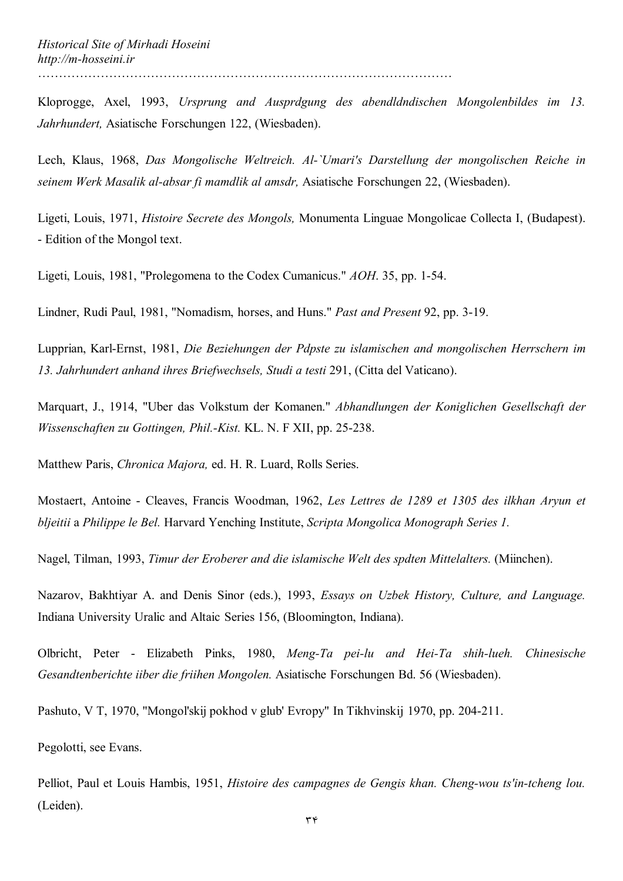Kloprogge, Axel, 1993, *Ursprung and Ausprdgung des abendldndischen Mongolenbildes im 13. Jahrhundert,* Asiatische Forschungen 122, (Wiesbaden).

Lech, Klaus, 1968, *Das Mongolische Weltreich. Al-`Umari's Darstellung der mongolischen Reiche in seinem Werk Masalik al-absar fi mamdlik al amsdr,* Asiatische Forschungen 22, (Wiesbaden).

Ligeti, Louis, 1971, *Histoire Secrete des Mongols,* Monumenta Linguae Mongolicae Collecta I, (Budapest). - Edition of the Mongol text.

Ligeti, Louis, 1981, "Prolegomena to the Codex Cumanicus." *AOH*. 35, pp. 1-54.

Lindner, Rudi Paul, 1981, "Nomadism, horses, and Huns." *Past and Present* 92, pp. 3-19.

Lupprian, Karl-Ernst, 1981, *Die Beziehungen der Pdpste zu islamischen and mongolischen Herrschern im 13. Jahrhundert anhand ihres Briefwechsels, Studi a testi* 291, (Citta del Vaticano).

Marquart, J., 1914, "Uber das Volkstum der Komanen." *Abhandlungen der Koniglichen Gesellschaft der Wissenschaften zu Gottingen, Phil.-Kist.* KL. N. F XII, pp. 25-238.

Matthew Paris, *Chronica Majora,* ed. H. R. Luard, Rolls Series.

Mostaert, Antoine - Cleaves, Francis Woodman, 1962, *Les Lettres de 1289 et 1305 des ilkhan Aryun et bljeitii* a *Philippe le Bel.* Harvard Yenching Institute, *Scripta Mongolica Monograph Series 1.* 

Nagel, Tilman, 1993, *Timur der Eroberer and die islamische Welt des spdten Mittelalters.* (Miinchen).

Nazarov, Bakhtiyar A. and Denis Sinor (eds.), 1993, *Essays on Uzbek History, Culture, and Language.*  Indiana University Uralic and Altaic Series 156, (Bloomington, Indiana).

Olbricht, Peter - Elizabeth Pinks, 1980, *Meng-Ta pei-lu and Hei-Ta shih-lueh. Chinesische Gesandtenberichte iiber die friihen Mongolen.* Asiatische Forschungen Bd. 56 (Wiesbaden).

Pashuto, V T, 1970, "Mongol'skij pokhod v glub' Evropy" In Tikhvinskij 1970, pp. 204-211.

Pegolotti, see Evans.

Pelliot, Paul et Louis Hambis, 1951, *Histoire des campagnes de Gengis khan. Cheng-wou ts'in-tcheng lou.*  (Leiden).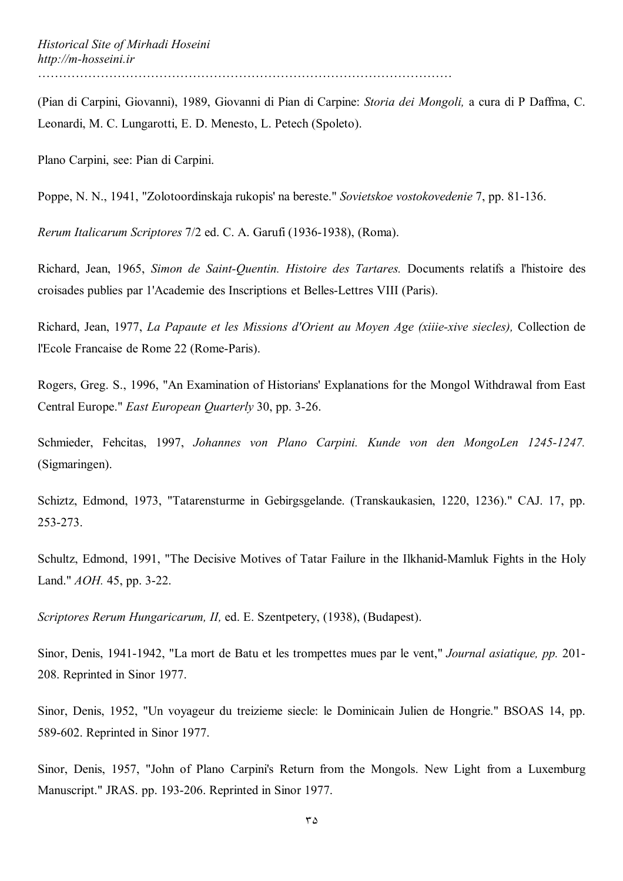(Pian di Carpini, Giovanni), 1989, Giovanni di Pian di Carpine: *Storia dei Mongoli,* a cura di P Daffma, C. Leonardi, M. C. Lungarotti, E. D. Menesto, L. Petech (Spoleto).

Plano Carpini, see: Pian di Carpini.

Poppe, N. N., 1941, "Zolotoordinskaja rukopis' na bereste." *Sovietskoe vostokovedenie* 7, pp. 81-136.

*Rerum Italicarum Scriptores* 7/2 ed. C. A. Garufi (1936-1938), (Roma).

Richard, Jean, 1965, *Simon de Saint-Quentin. Histoire des Tartares.* Documents relatifs a l'histoire des croisades publies par 1'Academie des Inscriptions et Belles-Lettres VIII (Paris).

Richard, Jean, 1977, *La Papaute et les Missions d'Orient au Moyen Age (xiiie-xive siecles),* Collection de l'Ecole Francaise de Rome 22 (Rome-Paris).

Rogers, Greg. S., 1996, "An Examination of Historians' Explanations for the Mongol Withdrawal from East Central Europe." *East European Quarterly* 30, pp. 3-26.

Schmieder, Fehcitas, 1997, *Johannes von Plano Carpini. Kunde von den MongoLen 1245-1247.*  (Sigmaringen).

Schiztz, Edmond, 1973, "Tatarensturme in Gebirgsgelande. (Transkaukasien, 1220, 1236)." CAJ. 17, pp. 253-273.

Schultz, Edmond, 1991, "The Decisive Motives of Tatar Failure in the Ilkhanid-Mamluk Fights in the Holy Land." *AOH.* 45, pp. 3-22.

*Scriptores Rerum Hungaricarum, II,* ed. E. Szentpetery, (1938), (Budapest).

Sinor, Denis, 1941-1942, "La mort de Batu et les trompettes mues par le vent," *Journal asiatique, pp.* 201- 208. Reprinted in Sinor 1977.

Sinor, Denis, 1952, "Un voyageur du treizieme siecle: le Dominicain Julien de Hongrie." BSOAS 14, pp. 589-602. Reprinted in Sinor 1977.

Sinor, Denis, 1957, "John of Plano Carpini's Return from the Mongols. New Light from a Luxemburg Manuscript." JRAS. pp. 193-206. Reprinted in Sinor 1977.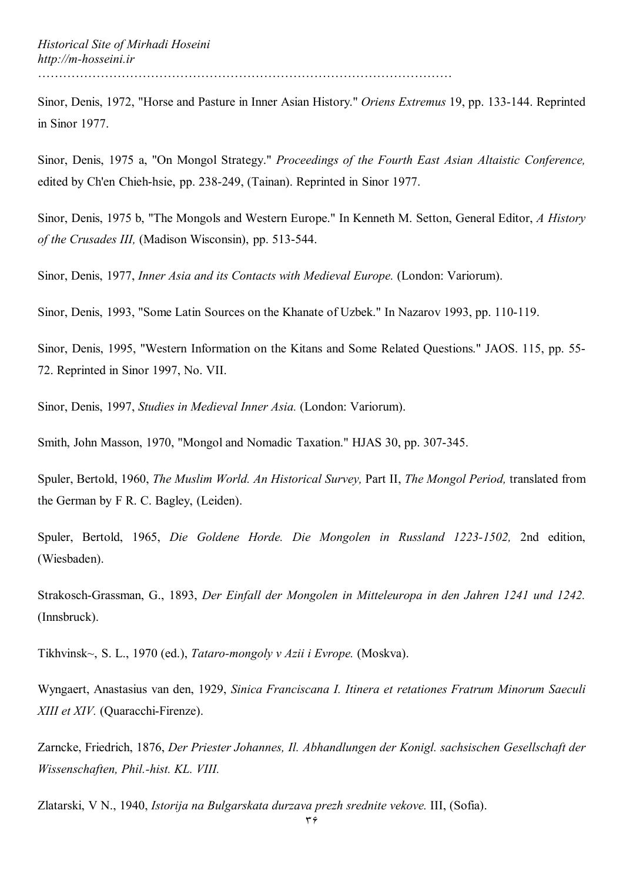Sinor, Denis, 1972, "Horse and Pasture in Inner Asian History." *Oriens Extremus* 19, pp. 133-144. Reprinted in Sinor 1977.

Sinor, Denis, 1975 a, "On Mongol Strategy." *Proceedings of the Fourth East Asian Altaistic Conference,*  edited by Ch'en Chieh-hsie, pp. 238-249, (Tainan). Reprinted in Sinor 1977.

Sinor, Denis, 1975 b, "The Mongols and Western Europe." In Kenneth M. Setton, General Editor, *A History of the Crusades III,* (Madison Wisconsin), pp. 513-544.

Sinor, Denis, 1977, *Inner Asia and its Contacts with Medieval Europe.* (London: Variorum).

Sinor, Denis, 1993, "Some Latin Sources on the Khanate of Uzbek." In Nazarov 1993, pp. 110-119.

Sinor, Denis, 1995, "Western Information on the Kitans and Some Related Questions." JAOS. 115, pp. 55- 72. Reprinted in Sinor 1997, No. VII.

Sinor, Denis, 1997, *Studies in Medieval Inner Asia.* (London: Variorum).

Smith, John Masson, 1970, "Mongol and Nomadic Taxation." HJAS 30, pp. 307-345.

Spuler, Bertold, 1960, *The Muslim World. An Historical Survey,* Part II, *The Mongol Period,* translated from the German by F R. C. Bagley, (Leiden).

Spuler, Bertold, 1965, *Die Goldene Horde. Die Mongolen in Russland 1223-1502,* 2nd edition, (Wiesbaden).

Strakosch-Grassman, G., 1893, *Der Einfall der Mongolen in Mitteleuropa in den Jahren 1241 und 1242.*  (Innsbruck).

Tikhvinsk~, S. L., 1970 (ed.), *Tataro-mongoly v Azii i Evrope.* (Moskva).

Wyngaert, Anastasius van den, 1929, *Sinica Franciscana I. Itinera et retationes Fratrum Minorum Saeculi XIII et XIV.* (Quaracchi-Firenze).

Zarncke, Friedrich, 1876, *Der Priester Johannes, Il. Abhandlungen der Konigl. sachsischen Gesellschaft der Wissenschaften, Phil.-hist. KL. VIII.* 

Zlatarski, V N., 1940, *Istorija na Bulgarskata durzava prezh srednite vekove.* III, (Sofia).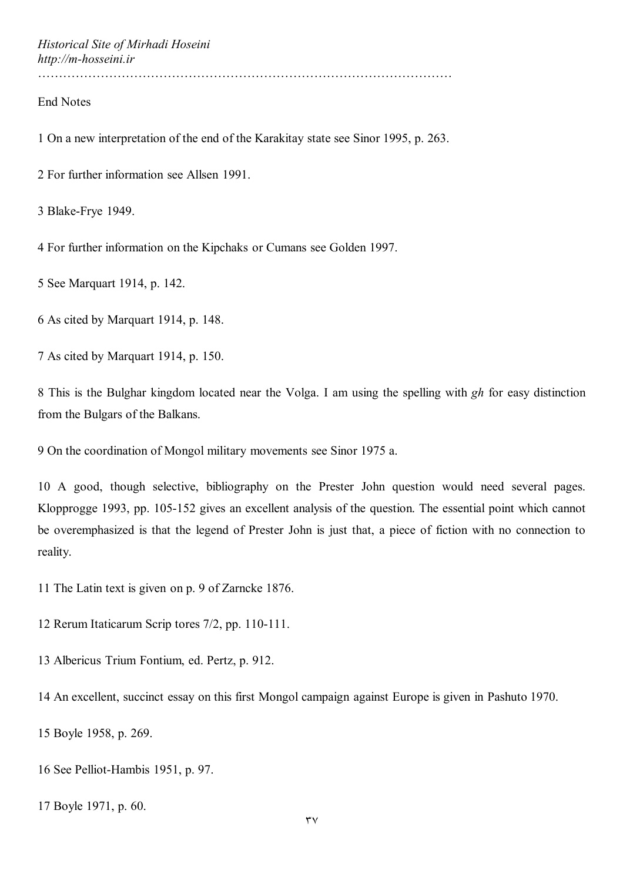*Historical Site of Mirhadi Hoseini http://m-hosseini.ir*

………………………………………………………………………………………

## End Notes

1 On a new interpretation of the end of the Karakitay state see Sinor 1995, p. 263.

2 For further information see Allsen 1991.

3 Blake-Frye 1949.

4 For further information on the Kipchaks or Cumans see Golden 1997.

5 See Marquart 1914, p. 142.

6 As cited by Marquart 1914, p. 148.

7 As cited by Marquart 1914, p. 150.

8 This is the Bulghar kingdom located near the Volga. I am using the spelling with *gh* for easy distinction from the Bulgars of the Balkans.

9 On the coordination of Mongol military movements see Sinor 1975 a.

10 A good, though selective, bibliography on the Prester John question would need several pages. Klopprogge 1993, pp. 105-152 gives an excellent analysis of the question. The essential point which cannot be overemphasized is that the legend of Prester John is just that, a piece of fiction with no connection to reality.

11 The Latin text is given on p. 9 of Zarncke 1876.

12 Rerum Itaticarum Scrip tores 7/2, pp. 110-111.

13 Albericus Trium Fontium, ed. Pertz, p. 912.

14 An excellent, succinct essay on this first Mongol campaign against Europe is given in Pashuto 1970.

15 Boyle 1958, p. 269.

16 See Pelliot-Hambis 1951, p. 97.

17 Boyle 1971, p. 60.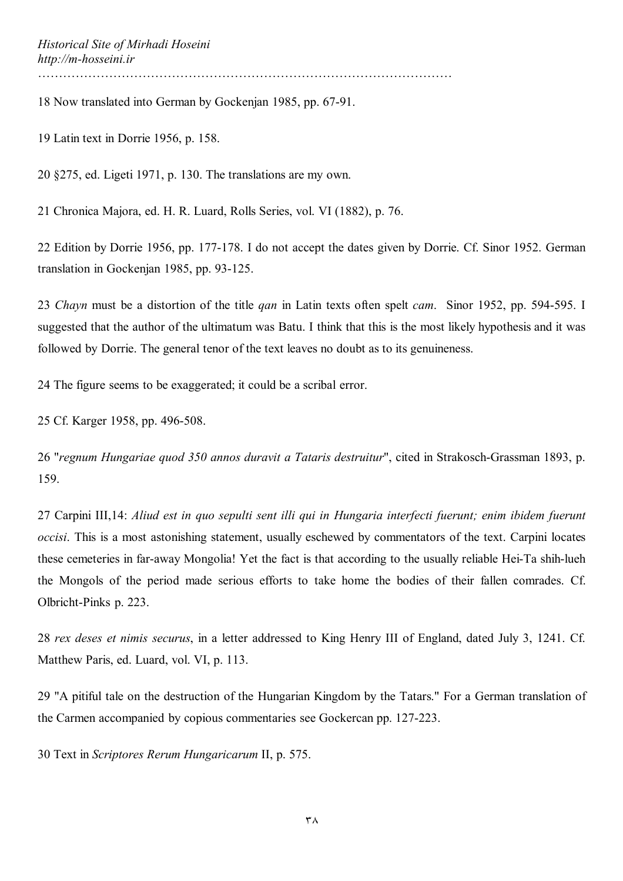18 Now translated into German by Gockenjan 1985, pp. 67-91.

19 Latin text in Dorrie 1956, p. 158.

20 §275, ed. Ligeti 1971, p. 130. The translations are my own.

21 Chronica Majora, ed. H. R. Luard, Rolls Series, vol. VI (1882), p. 76.

22 Edition by Dorrie 1956, pp. 177-178. I do not accept the dates given by Dorrie. Cf. Sinor 1952. German translation in Gockenjan 1985, pp. 93-125.

23 *Chayn* must be a distortion of the title *qan* in Latin texts often spelt *cam*. Sinor 1952, pp. 594-595. I suggested that the author of the ultimatum was Batu. I think that this is the most likely hypothesis and it was followed by Dorrie. The general tenor of the text leaves no doubt as to its genuineness.

24 The figure seems to be exaggerated; it could be a scribal error.

25 Cf. Karger 1958, pp. 496-508.

26 "*regnum Hungariae quod 350 annos duravit a Tataris destruitur*", cited in Strakosch-Grassman 1893, p. 159.

27 Carpini III,14: *Aliud est in quo sepulti sent illi qui in Hungaria interfecti fuerunt; enim ibidem fuerunt occisi*. This is a most astonishing statement, usually eschewed by commentators of the text. Carpini locates these cemeteries in far-away Mongolia! Yet the fact is that according to the usually reliable Hei-Ta shih-lueh the Mongols of the period made serious efforts to take home the bodies of their fallen comrades. Cf. Olbricht-Pinks p. 223.

28 *rex deses et nimis securus*, in a letter addressed to King Henry III of England, dated July 3, 1241. Cf. Matthew Paris, ed. Luard, vol. VI, p. 113.

29 "A pitiful tale on the destruction of the Hungarian Kingdom by the Tatars." For a German translation of the Carmen accompanied by copious commentaries see Gockercan pp. 127-223.

30 Text in *Scriptores Rerum Hungaricarum* II, p. 575.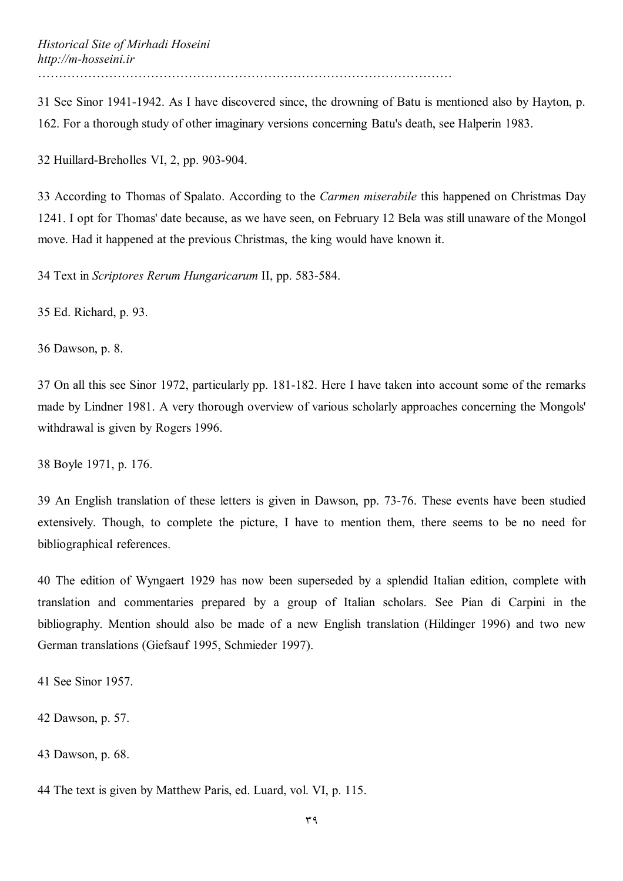31 See Sinor 1941-1942. As I have discovered since, the drowning of Batu is mentioned also by Hayton, p. 162. For a thorough study of other imaginary versions concerning Batu's death, see Halperin 1983.

32 Huillard-Breholles VI, 2, pp. 903-904.

33 According to Thomas of Spalato. According to the *Carmen miserabile* this happened on Christmas Day 1241. I opt for Thomas' date because, as we have seen, on February 12 Bela was still unaware of the Mongol move. Had it happened at the previous Christmas, the king would have known it.

34 Text in *Scriptores Rerum Hungaricarum* II, pp. 583-584.

35 Ed. Richard, p. 93.

36 Dawson, p. 8.

37 On all this see Sinor 1972, particularly pp. 181-182. Here I have taken into account some of the remarks made by Lindner 1981. A very thorough overview of various scholarly approaches concerning the Mongols' withdrawal is given by Rogers 1996.

38 Boyle 1971, p. 176.

39 An English translation of these letters is given in Dawson, pp. 73-76. These events have been studied extensively. Though, to complete the picture, I have to mention them, there seems to be no need for bibliographical references.

40 The edition of Wyngaert 1929 has now been superseded by a splendid Italian edition, complete with translation and commentaries prepared by a group of Italian scholars. See Pian di Carpini in the bibliography. Mention should also be made of a new English translation (Hildinger 1996) and two new German translations (Giefsauf 1995, Schmieder 1997).

41 See Sinor 1957.

42 Dawson, p. 57.

43 Dawson, p. 68.

44 The text is given by Matthew Paris, ed. Luard, vol. VI, p. 115.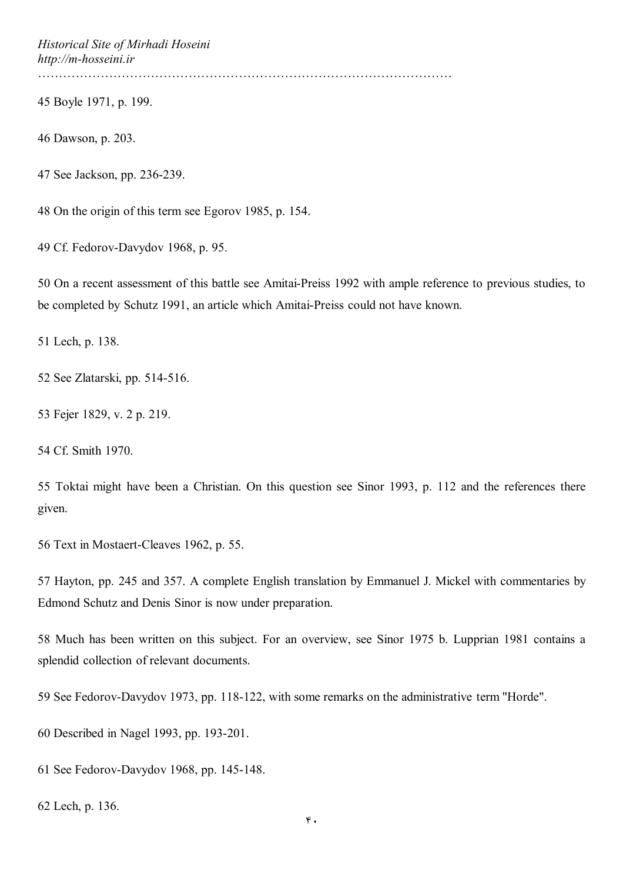*Historical Site of Mirhadi Hoseini http://m-hosseini.ir*

………………………………………………………………………………………

45 Boyle 1971, p. 199.

46 Dawson, p. 203.

47 See Jackson, pp. 236-239.

48 On the origin of this term see Egorov 1985, p. 154.

49 Cf. Fedorov-Davydov 1968, p. 95.

50 On a recent assessment of this battle see Amitai-Preiss 1992 with ample reference to previous studies, to be completed by Schutz 1991, an article which Amitai-Preiss could not have known.

51 Lech, p. 138.

52 See Zlatarski, pp. 514-516.

53 Fejer 1829, v. 2 p. 219.

54 Cf. Smith 1970.

55 Toktai might have been a Christian. On this question see Sinor 1993, p. 112 and the references there given.

56 Text in Mostaert-Cleaves 1962, p. 55.

57 Hayton, pp. 245 and 357. A complete English translation by Emmanuel J. Mickel with commentaries by Edmond Schutz and Denis Sinor is now under preparation.

58 Much has been written on this subject. For an overview, see Sinor 1975 b. Lupprian 1981 contains a splendid collection of relevant documents.

59 See Fedorov-Davydov 1973, pp. 118-122, with some remarks on the administrative term "Horde".

60 Described in Nagel 1993, pp. 193-201.

61 See Fedorov-Davydov 1968, pp. 145-148.

62 Lech, p. 136.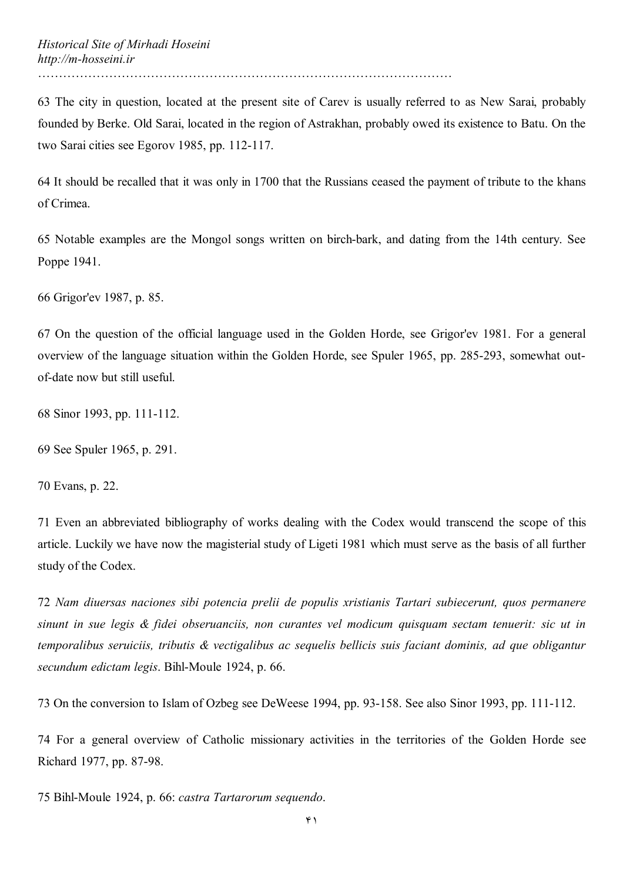63 The city in question, located at the present site of Carev is usually referred to as New Sarai, probably founded by Berke. Old Sarai, located in the region of Astrakhan, probably owed its existence to Batu. On the two Sarai cities see Egorov 1985, pp. 112-117.

64 It should be recalled that it was only in 1700 that the Russians ceased the payment of tribute to the khans of Crimea.

65 Notable examples are the Mongol songs written on birch-bark, and dating from the 14th century. See Poppe 1941.

66 Grigor'ev 1987, p. 85.

67 On the question of the official language used in the Golden Horde, see Grigor'ev 1981. For a general overview of the language situation within the Golden Horde, see Spuler 1965, pp. 285-293, somewhat outof-date now but still useful.

68 Sinor 1993, pp. 111-112.

69 See Spuler 1965, p. 291.

70 Evans, p. 22.

71 Even an abbreviated bibliography of works dealing with the Codex would transcend the scope of this article. Luckily we have now the magisterial study of Ligeti 1981 which must serve as the basis of all further study of the Codex.

72 *Nam diuersas naciones sibi potencia prelii de populis xristianis Tartari subiecerunt, quos permanere sinunt in sue legis & fidei obseruanciis, non curantes vel modicum quisquam sectam tenuerit: sic ut in temporalibus seruiciis, tributis & vectigalibus ac sequelis bellicis suis faciant dominis, ad que obligantur secundum edictam legis*. Bihl-Moule 1924, p. 66.

73 On the conversion to Islam of Ozbeg see DeWeese 1994, pp. 93-158. See also Sinor 1993, pp. 111-112.

74 For a general overview of Catholic missionary activities in the territories of the Golden Horde see Richard 1977, pp. 87-98.

75 Bihl-Moule 1924, p. 66: *castra Tartarorum sequendo*.